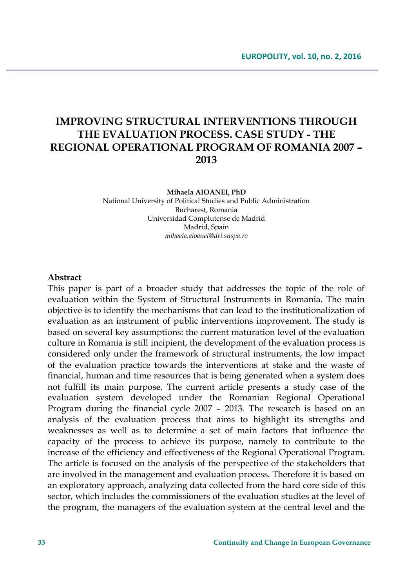# **IMPROVING STRUCTURAL INTERVENTIONS THROUGH THE EVALUATION PROCESS. CASE STUDY - THE REGIONAL OPERATIONAL PROGRAM OF ROMANIA 2007 – 2013**

#### **Mihaela AIOANEI, PhD**

National University of Political Studies and Public Administration Bucharest, Romania Universidad Complutense de Madrid Madrid, Spain *mihaela.aioanei@dri.snspa.ro*

#### **Abstract**

This paper is part of a broader study that addresses the topic of the role of evaluation within the System of Structural Instruments in Romania. The main objective is to identify the mechanisms that can lead to the institutionalization of evaluation as an instrument of public interventions improvement. The study is based on several key assumptions: the current maturation level of the evaluation culture in Romania is still incipient, the development of the evaluation process is considered only under the framework of structural instruments, the low impact of the evaluation practice towards the interventions at stake and the waste of financial, human and time resources that is being generated when a system does not fulfill its main purpose. The current article presents a study case of the evaluation system developed under the Romanian Regional Operational Program during the financial cycle 2007 – 2013. The research is based on an analysis of the evaluation process that aims to highlight its strengths and weaknesses as well as to determine a set of main factors that influence the capacity of the process to achieve its purpose, namely to contribute to the increase of the efficiency and effectiveness of the Regional Operational Program. The article is focused on the analysis of the perspective of the stakeholders that are involved in the management and evaluation process. Therefore it is based on an exploratory approach, analyzing data collected from the hard core side of this sector, which includes the commissioners of the evaluation studies at the level of the program, the managers of the evaluation system at the central level and the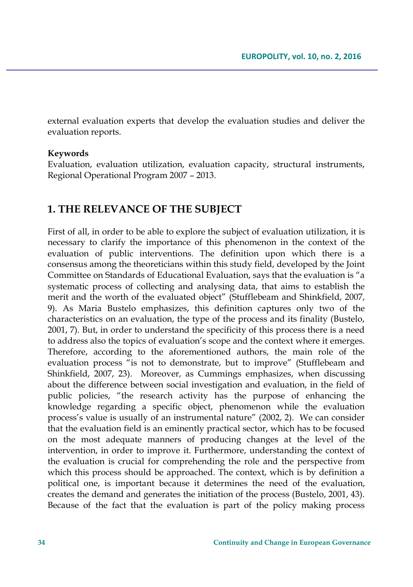external evaluation experts that develop the evaluation studies and deliver the evaluation reports.

### **Keywords**

Evaluation, evaluation utilization, evaluation capacity, structural instruments, Regional Operational Program 2007 – 2013.

## **1. THE RELEVANCE OF THE SUBJECT**

First of all, in order to be able to explore the subject of evaluation utilization, it is necessary to clarify the importance of this phenomenon in the context of the evaluation of public interventions. The definition upon which there is a consensus among the theoreticians within this study field, developed by the Joint Committee on Standards of Educational Evaluation, says that the evaluation is "a systematic process of collecting and analysing data, that aims to establish the merit and the worth of the evaluated object" (Stufflebeam and Shinkfield, 2007, 9). As Maria Bustelo emphasizes, this definition captures only two of the characteristics on an evaluation, the type of the process and its finality (Bustelo, 2001, 7). But, in order to understand the specificity of this process there is a need to address also the topics of evaluation's scope and the context where it emerges. Therefore, according to the aforementioned authors, the main role of the evaluation process "is not to demonstrate, but to improve" (Stufflebeam and Shinkfield, 2007, 23). Moreover, as Cummings emphasizes, when discussing about the difference between social investigation and evaluation, in the field of public policies, "the research activity has the purpose of enhancing the knowledge regarding a specific object, phenomenon while the evaluation process's value is usually of an instrumental nature" (2002, 2). We can consider that the evaluation field is an eminently practical sector, which has to be focused on the most adequate manners of producing changes at the level of the intervention, in order to improve it. Furthermore, understanding the context of the evaluation is crucial for comprehending the role and the perspective from which this process should be approached. The context, which is by definition a political one, is important because it determines the need of the evaluation, creates the demand and generates the initiation of the process (Bustelo, 2001, 43). Because of the fact that the evaluation is part of the policy making process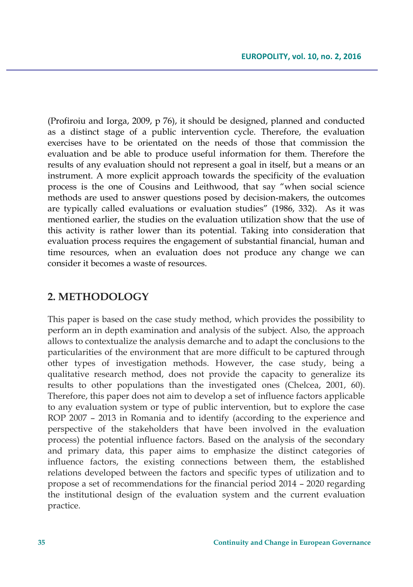(Profiroiu and Iorga, 2009, p 76), it should be designed, planned and conducted as a distinct stage of a public intervention cycle. Therefore, the evaluation exercises have to be orientated on the needs of those that commission the evaluation and be able to produce useful information for them. Therefore the results of any evaluation should not represent a goal in itself, but a means or an instrument. A more explicit approach towards the specificity of the evaluation process is the one of Cousins and Leithwood, that say "when social science methods are used to answer questions posed by decision-makers, the outcomes are typically called evaluations or evaluation studies" (1986, 332). As it was mentioned earlier, the studies on the evaluation utilization show that the use of this activity is rather lower than its potential. Taking into consideration that evaluation process requires the engagement of substantial financial, human and time resources, when an evaluation does not produce any change we can consider it becomes a waste of resources.

## **2. METHODOLOGY**

This paper is based on the case study method, which provides the possibility to perform an in depth examination and analysis of the subject. Also, the approach allows to contextualize the analysis demarche and to adapt the conclusions to the particularities of the environment that are more difficult to be captured through other types of investigation methods. However, the case study, being a qualitative research method, does not provide the capacity to generalize its results to other populations than the investigated ones (Chelcea, 2001, 60). Therefore, this paper does not aim to develop a set of influence factors applicable to any evaluation system or type of public intervention, but to explore the case ROP 2007 – 2013 in Romania and to identify (according to the experience and perspective of the stakeholders that have been involved in the evaluation process) the potential influence factors. Based on the analysis of the secondary and primary data, this paper aims to emphasize the distinct categories of influence factors, the existing connections between them, the established relations developed between the factors and specific types of utilization and to propose a set of recommendations for the financial period 2014 – 2020 regarding the institutional design of the evaluation system and the current evaluation practice.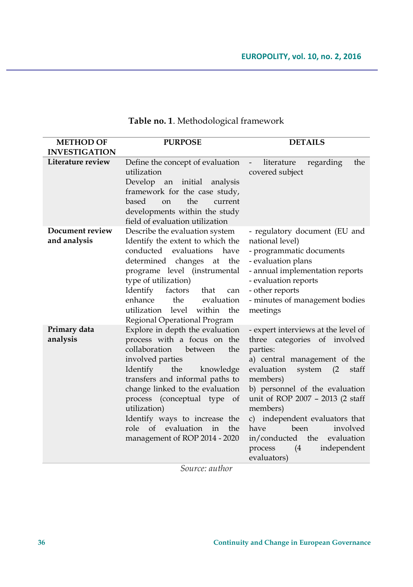| <b>METHOD OF</b>                | <b>PURPOSE</b>                                                                                                                                                                                                                                                                                                                                                            | <b>DETAILS</b>                                                                                                                                                                                                                                                                                                                                                                                    |
|---------------------------------|---------------------------------------------------------------------------------------------------------------------------------------------------------------------------------------------------------------------------------------------------------------------------------------------------------------------------------------------------------------------------|---------------------------------------------------------------------------------------------------------------------------------------------------------------------------------------------------------------------------------------------------------------------------------------------------------------------------------------------------------------------------------------------------|
| <b>INVESTIGATION</b>            |                                                                                                                                                                                                                                                                                                                                                                           |                                                                                                                                                                                                                                                                                                                                                                                                   |
| Literature review               | Define the concept of evaluation<br>utilization<br>Develop an initial analysis<br>framework for the case study,<br>based<br>the<br>on<br>current<br>developments within the study<br>field of evaluation utilization                                                                                                                                                      | regarding<br>the<br>$\sim$<br>literature<br>covered subject                                                                                                                                                                                                                                                                                                                                       |
| Document review<br>and analysis | Describe the evaluation system<br>Identify the extent to which the<br>conducted evaluations have<br>determined changes at the<br>programe level (instrumental<br>type of utilization)<br>Identify<br>factors<br>that<br>can<br>enhance<br>the<br>evaluation<br>utilization level<br>within the<br>Regional Operational Program                                            | - regulatory document (EU and<br>national level)<br>- programmatic documents<br>- evaluation plans<br>- annual implementation reports<br>- evaluation reports<br>- other reports<br>- minutes of management bodies<br>meetings                                                                                                                                                                    |
| Primary data<br>analysis        | Explore in depth the evaluation<br>process with a focus on the<br>collaboration between<br>the<br>involved parties<br>Identify<br>the<br>knowledge<br>transfers and informal paths to<br>change linked to the evaluation<br>process (conceptual type of<br>utilization)<br>Identify ways to increase the<br>role of evaluation in<br>the<br>management of ROP 2014 - 2020 | - expert interviews at the level of<br>three categories of involved<br>parties:<br>a) central management of the<br>evaluation<br>system (2<br>staff<br>members)<br>b) personnel of the evaluation<br>unit of ROP 2007 - 2013 (2 staff<br>members)<br>c) independent evaluators that<br>been<br>involved<br>have<br>in/conducted the<br>evaluation<br>process<br>independent<br>(4)<br>evaluators) |

# **Table no. 1**. Methodological framework

*Source: author*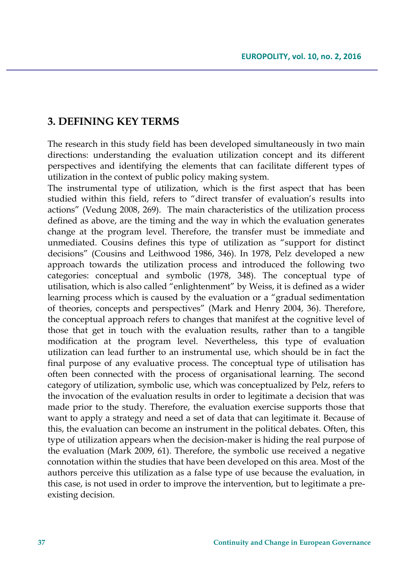### **3. DEFINING KEY TERMS**

The research in this study field has been developed simultaneously in two main directions: understanding the evaluation utilization concept and its different perspectives and identifying the elements that can facilitate different types of utilization in the context of public policy making system.

The instrumental type of utilization, which is the first aspect that has been studied within this field, refers to "direct transfer of evaluation's results into actions" (Vedung 2008, 269). The main characteristics of the utilization process defined as above, are the timing and the way in which the evaluation generates change at the program level. Therefore, the transfer must be immediate and unmediated. Cousins defines this type of utilization as "support for distinct decisions" (Cousins and Leithwood 1986, 346). In 1978, Pelz developed a new approach towards the utilization process and introduced the following two categories: conceptual and symbolic (1978, 348). The conceptual type of utilisation, which is also called "enlightenment" by Weiss, it is defined as a wider learning process which is caused by the evaluation or a "gradual sedimentation of theories, concepts and perspectives" (Mark and Henry 2004, 36). Therefore, the conceptual approach refers to changes that manifest at the cognitive level of those that get in touch with the evaluation results, rather than to a tangible modification at the program level. Nevertheless, this type of evaluation utilization can lead further to an instrumental use, which should be in fact the final purpose of any evaluative process. The conceptual type of utilisation has often been connected with the process of organisational learning. The second category of utilization, symbolic use, which was conceptualized by Pelz, refers to the invocation of the evaluation results in order to legitimate a decision that was made prior to the study. Therefore, the evaluation exercise supports those that want to apply a strategy and need a set of data that can legitimate it. Because of this, the evaluation can become an instrument in the political debates. Often, this type of utilization appears when the decision-maker is hiding the real purpose of the evaluation (Mark 2009, 61). Therefore, the symbolic use received a negative connotation within the studies that have been developed on this area. Most of the authors perceive this utilization as a false type of use because the evaluation, in this case, is not used in order to improve the intervention, but to legitimate a preexisting decision.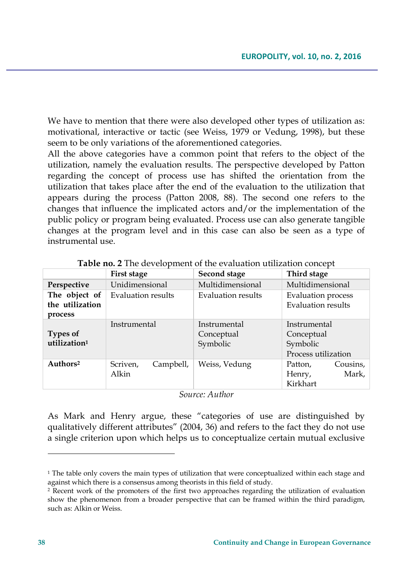We have to mention that there were also developed other types of utilization as: motivational, interactive or tactic (see Weiss, 1979 or Vedung, 1998), but these seem to be only variations of the aforementioned categories.

All the above categories have a common point that refers to the object of the utilization, namely the evaluation results. The perspective developed by Patton regarding the concept of process use has shifted the orientation from the utilization that takes place after the end of the evaluation to the utilization that appears during the process (Patton 2008, 88). The second one refers to the changes that influence the implicated actors and/or the implementation of the public policy or program being evaluated. Process use can also generate tangible changes at the program level and in this case can also be seen as a type of instrumental use.

|                                             | First stage                    | Second stage                           | Third stage                                                   |
|---------------------------------------------|--------------------------------|----------------------------------------|---------------------------------------------------------------|
| Perspective                                 | Unidimensional                 | Multidimensional                       | Multidimensional                                              |
| The object of<br>the utilization<br>process | Evaluation results             | Evaluation results                     | <b>Evaluation</b> process<br>Evaluation results               |
| <b>Types of</b><br>utilization <sup>1</sup> | Instrumental                   | Instrumental<br>Conceptual<br>Symbolic | Instrumental<br>Conceptual<br>Symbolic<br>Process utilization |
| Authors <sup>2</sup>                        | Campbell,<br>Scriven,<br>Alkin | Weiss, Vedung                          | Cousins,<br>Patton,<br>Mark,<br>Henry,<br>Kirkhart            |

**Table no. 2** The development of the evaluation utilization concept

*Source: Author*

As Mark and Henry argue, these "categories of use are distinguished by qualitatively different attributes" (2004, 36) and refers to the fact they do not use a single criterion upon which helps us to conceptualize certain mutual exclusive

 $\overline{\phantom{a}}$ 

<sup>&</sup>lt;sup>1</sup> The table only covers the main types of utilization that were conceptualized within each stage and against which there is a consensus among theorists in this field of study.

<sup>2</sup> Recent work of the promoters of the first two approaches regarding the utilization of evaluation show the phenomenon from a broader perspective that can be framed within the third paradigm, such as: Alkin or Weiss.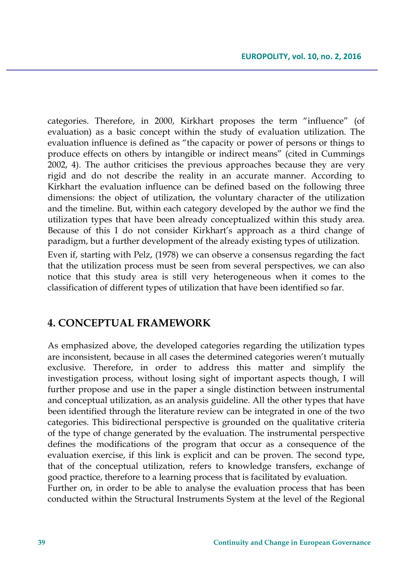categories. Therefore, in 2000, Kirkhart proposes the term "influence" (of evaluation) as a basic concept within the study of evaluation utilization. The evaluation influence is defined as "the capacity or power of persons or things to produce effects on others by intangible or indirect means" (cited in Cummings 2002, 4). The author criticises the previous approaches because they are very rigid and do not describe the reality in an accurate manner. According to Kirkhart the evaluation influence can be defined based on the following three dimensions: the object of utilization, the voluntary character of the utilization and the timeline. But, within each category developed by the author we find the utilization types that have been already conceptualized within this study area. Because of this I do not consider Kirkhart's approach as a third change of paradigm, but a further development of the already existing types of utilization.

Even if, starting with Pelz, (1978) we can observe a consensus regarding the fact that the utilization process must be seen from several perspectives, we can also notice that this study area is still very heterogeneous when it comes to the classification of different types of utilization that have been identified so far.

### **4. CONCEPTUAL FRAMEWORK**

As emphasized above, the developed categories regarding the utilization types are inconsistent, because in all cases the determined categories weren't mutually exclusive. Therefore, in order to address this matter and simplify the investigation process, without losing sight of important aspects though, I will further propose and use in the paper a single distinction between instrumental and conceptual utilization, as an analysis guideline. All the other types that have been identified through the literature review can be integrated in one of the two categories. This bidirectional perspective is grounded on the qualitative criteria of the type of change generated by the evaluation. The instrumental perspective defines the modifications of the program that occur as a consequence of the evaluation exercise, if this link is explicit and can be proven. The second type, that of the conceptual utilization, refers to knowledge transfers, exchange of good practice, therefore to a learning process that is facilitated by evaluation.

Further on, in order to be able to analyse the evaluation process that has been conducted within the Structural Instruments System at the level of the Regional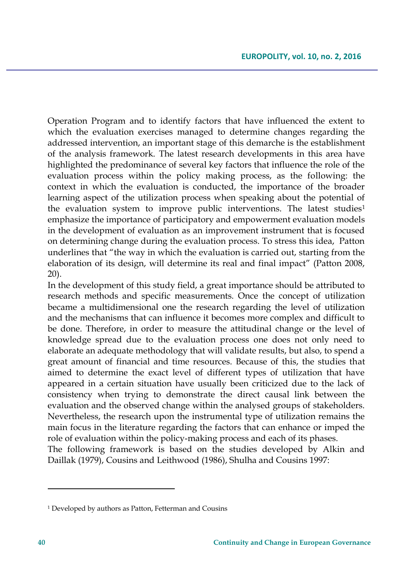Operation Program and to identify factors that have influenced the extent to which the evaluation exercises managed to determine changes regarding the addressed intervention, an important stage of this demarche is the establishment of the analysis framework. The latest research developments in this area have highlighted the predominance of several key factors that influence the role of the evaluation process within the policy making process, as the following: the context in which the evaluation is conducted, the importance of the broader learning aspect of the utilization process when speaking about the potential of the evaluation system to improve public interventions. The latest studies<sup>1</sup> emphasize the importance of participatory and empowerment evaluation models in the development of evaluation as an improvement instrument that is focused on determining change during the evaluation process. To stress this idea, Patton underlines that "the way in which the evaluation is carried out, starting from the elaboration of its design, will determine its real and final impact" (Patton 2008, 20).

In the development of this study field, a great importance should be attributed to research methods and specific measurements. Once the concept of utilization became a multidimensional one the research regarding the level of utilization and the mechanisms that can influence it becomes more complex and difficult to be done. Therefore, in order to measure the attitudinal change or the level of knowledge spread due to the evaluation process one does not only need to elaborate an adequate methodology that will validate results, but also, to spend a great amount of financial and time resources. Because of this, the studies that aimed to determine the exact level of different types of utilization that have appeared in a certain situation have usually been criticized due to the lack of consistency when trying to demonstrate the direct causal link between the evaluation and the observed change within the analysed groups of stakeholders. Nevertheless, the research upon the instrumental type of utilization remains the main focus in the literature regarding the factors that can enhance or imped the role of evaluation within the policy-making process and each of its phases. The following framework is based on the studies developed by Alkin and Daillak (1979), Cousins and Leithwood (1986), Shulha and Cousins 1997:

 $\overline{\phantom{a}}$ 

<sup>1</sup> Developed by authors as Patton, Fetterman and Cousins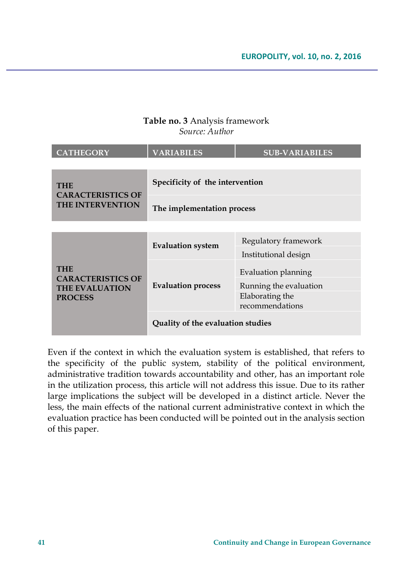### **Table no. 3** Analysis framework *Source: Author*

| <b>CATHEGORY</b>                                                    | <b>VARIABILES</b>                 | <b>SUB-VARIABILES</b>              |  |
|---------------------------------------------------------------------|-----------------------------------|------------------------------------|--|
|                                                                     |                                   |                                    |  |
| <b>THE</b><br><b>CARACTERISTICS OF</b>                              | Specificity of the intervention   |                                    |  |
| <b>THE INTERVENTION</b>                                             | The implementation process        |                                    |  |
|                                                                     |                                   |                                    |  |
|                                                                     | <b>Evaluation system</b>          | Regulatory framework               |  |
|                                                                     |                                   | Institutional design               |  |
| <b>THE</b>                                                          |                                   | Evaluation planning                |  |
| <b>CARACTERISTICS OF</b><br><b>THE EVALUATION</b><br><b>PROCESS</b> | Evaluation process                | Running the evaluation             |  |
|                                                                     |                                   | Elaborating the<br>recommendations |  |
|                                                                     | Quality of the evaluation studies |                                    |  |

Even if the context in which the evaluation system is established, that refers to the specificity of the public system, stability of the political environment, administrative tradition towards accountability and other, has an important role in the utilization process, this article will not address this issue. Due to its rather large implications the subject will be developed in a distinct article. Never the less, the main effects of the national current administrative context in which the evaluation practice has been conducted will be pointed out in the analysis section of this paper.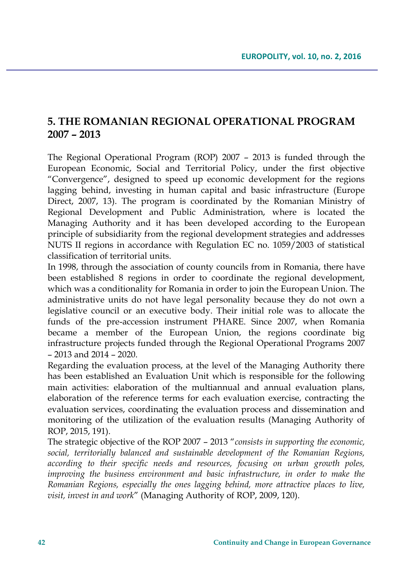# **5. THE ROMANIAN REGIONAL OPERATIONAL PROGRAM 2007 – 2013**

The Regional Operational Program (ROP) 2007 – 2013 is funded through the European Economic, Social and Territorial Policy, under the first objective "Convergence", designed to speed up economic development for the regions lagging behind, investing in human capital and basic infrastructure (Europe Direct, 2007, 13). The program is coordinated by the Romanian Ministry of Regional Development and Public Administration, where is located the Managing Authority and it has been developed according to the European principle of subsidiarity from the regional development strategies and addresses NUTS II regions in accordance with Regulation EC no. 1059/2003 of statistical classification of territorial units.

In 1998, through the association of county councils from in Romania, there have been established 8 regions in order to coordinate the regional development, which was a conditionality for Romania in order to join the European Union. The administrative units do not have legal personality because they do not own a legislative council or an executive body. Their initial role was to allocate the funds of the pre-accession instrument PHARE. Since 2007, when Romania became a member of the European Union, the regions coordinate big infrastructure projects funded through the Regional Operational Programs 2007 – 2013 and 2014 – 2020.

Regarding the evaluation process, at the level of the Managing Authority there has been established an Evaluation Unit which is responsible for the following main activities: elaboration of the multiannual and annual evaluation plans, elaboration of the reference terms for each evaluation exercise, contracting the evaluation services, coordinating the evaluation process and dissemination and monitoring of the utilization of the evaluation results (Managing Authority of ROP, 2015, 191).

The strategic objective of the ROP 2007 – 2013 "*consists in supporting the economic, social, territorially balanced and sustainable development of the Romanian Regions, according to their specific needs and resources, focusing on urban growth poles, improving the business environment and basic infrastructure, in order to make the Romanian Regions, especially the ones lagging behind, more attractive places to live, visit, invest in and work*" (Managing Authority of ROP, 2009, 120).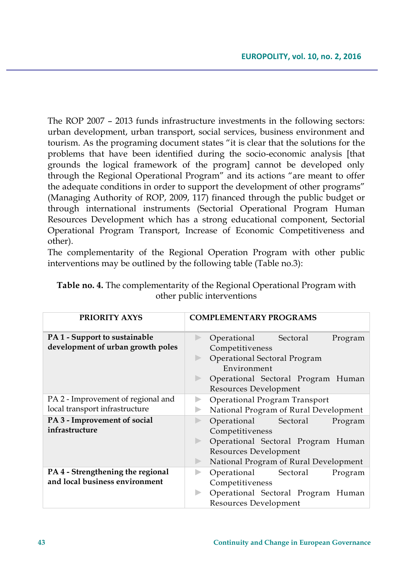The ROP 2007 – 2013 funds infrastructure investments in the following sectors: urban development, urban transport, social services, business environment and tourism. As the programing document states "it is clear that the solutions for the problems that have been identified during the socio-economic analysis [that grounds the logical framework of the program] cannot be developed only through the Regional Operational Program" and its actions "are meant to offer the adequate conditions in order to support the development of other programs" (Managing Authority of ROP, 2009, 117) financed through the public budget or through international instruments (Sectorial Operational Program Human Resources Development which has a strong educational component, Sectorial Operational Program Transport, Increase of Economic Competitiveness and other).

The complementarity of the Regional Operation Program with other public interventions may be outlined by the following table (Table no.3):

| <b>PRIORITY AXYS</b>                                                      | <b>COMPLEMENTARY PROGRAMS</b>                                                                                                                                    |  |  |
|---------------------------------------------------------------------------|------------------------------------------------------------------------------------------------------------------------------------------------------------------|--|--|
| <b>PA 1 - Support to sustainable</b><br>development of urban growth poles | Operational Sectoral<br>Program<br>Competitiveness<br>Operational Sectoral Program<br>Environment<br>Operational Sectoral Program Human<br>Resources Development |  |  |
| PA 2 - Improvement of regional and<br>local transport infrastructure      | Operational Program Transport<br>National Program of Rural Development                                                                                           |  |  |
| PA 3 - Improvement of social<br>infrastructure                            | Operational Sectoral<br>Program<br>Competitiveness<br>Operational Sectoral Program Human<br>Resources Development                                                |  |  |
| PA 4 - Strengthening the regional<br>and local business environment       | National Program of Rural Development<br>Operational<br>Sectoral<br>Program<br>Competitiveness<br>Operational Sectoral Program Human<br>Resources Development    |  |  |

| Table no. 4. The complementarity of the Regional Operational Program with |
|---------------------------------------------------------------------------|
| other public interventions                                                |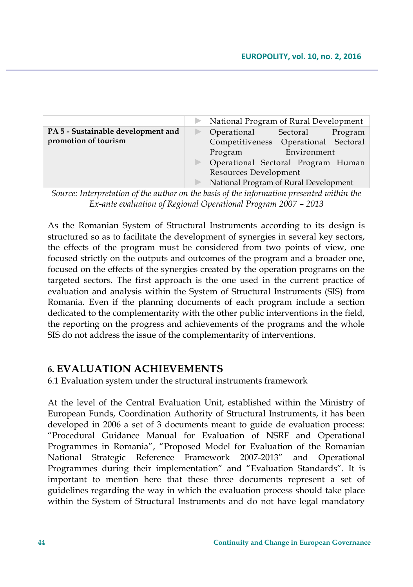|                                    | National Program of Rural Development |             |         |
|------------------------------------|---------------------------------------|-------------|---------|
| PA 5 - Sustainable development and | Operational                           | Sectoral    | Program |
| promotion of tourism               | Competitiveness Operational Sectoral  |             |         |
|                                    | Program                               | Environment |         |
|                                    | Operational Sectoral Program Human    |             |         |
|                                    | Resources Development                 |             |         |
|                                    | National Program of Rural Development |             |         |

*Source: Interpretation of the author on the basis of the information presented within the Ex-ante evaluation of Regional Operational Program 2007 – 2013* 

As the Romanian System of Structural Instruments according to its design is structured so as to facilitate the development of synergies in several key sectors, the effects of the program must be considered from two points of view, one focused strictly on the outputs and outcomes of the program and a broader one, focused on the effects of the synergies created by the operation programs on the targeted sectors. The first approach is the one used in the current practice of evaluation and analysis within the System of Structural Instruments (SIS) from Romania. Even if the planning documents of each program include a section dedicated to the complementarity with the other public interventions in the field, the reporting on the progress and achievements of the programs and the whole SIS do not address the issue of the complementarity of interventions.

## **6. EVALUATION ACHIEVEMENTS**

6.1 Evaluation system under the structural instruments framework

At the level of the Central Evaluation Unit, established within the Ministry of European Funds, Coordination Authority of Structural Instruments, it has been developed in 2006 a set of 3 documents meant to guide de evaluation process: "Procedural Guidance Manual for Evaluation of NSRF and Operational Programmes in Romania", "Proposed Model for Evaluation of the Romanian National Strategic Reference Framework 2007-2013" and Operational Programmes during their implementation" and "Evaluation Standards". It is important to mention here that these three documents represent a set of guidelines regarding the way in which the evaluation process should take place within the System of Structural Instruments and do not have legal mandatory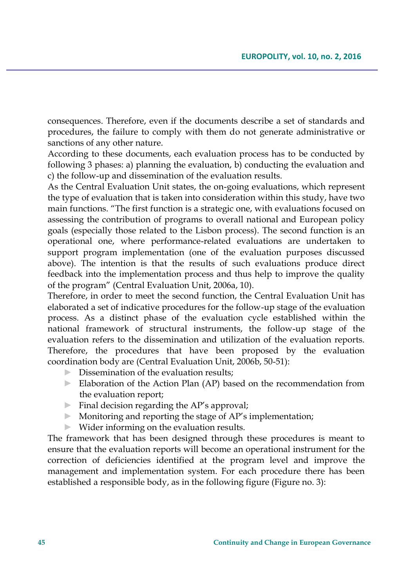consequences. Therefore, even if the documents describe a set of standards and procedures, the failure to comply with them do not generate administrative or sanctions of any other nature.

According to these documents, each evaluation process has to be conducted by following 3 phases: a) planning the evaluation, b) conducting the evaluation and c) the follow-up and dissemination of the evaluation results.

As the Central Evaluation Unit states, the on-going evaluations, which represent the type of evaluation that is taken into consideration within this study, have two main functions. "The first function is a strategic one, with evaluations focused on assessing the contribution of programs to overall national and European policy goals (especially those related to the Lisbon process). The second function is an operational one, where performance-related evaluations are undertaken to support program implementation (one of the evaluation purposes discussed above). The intention is that the results of such evaluations produce direct feedback into the implementation process and thus help to improve the quality of the program" (Central Evaluation Unit, 2006a, 10).

Therefore, in order to meet the second function, the Central Evaluation Unit has elaborated a set of indicative procedures for the follow-up stage of the evaluation process. As a distinct phase of the evaluation cycle established within the national framework of structural instruments, the follow-up stage of the evaluation refers to the dissemination and utilization of the evaluation reports. Therefore, the procedures that have been proposed by the evaluation coordination body are (Central Evaluation Unit, 2006b, 50-51):

- $\triangleright$  Dissemination of the evaluation results:
- ► Elaboration of the Action Plan (AP) based on the recommendation from the evaluation report;
- $\blacktriangleright$  Final decision regarding the AP's approval;
- $\triangleright$  Monitoring and reporting the stage of AP's implementation;
- ► Wider informing on the evaluation results.

The framework that has been designed through these procedures is meant to ensure that the evaluation reports will become an operational instrument for the correction of deficiencies identified at the program level and improve the management and implementation system. For each procedure there has been established a responsible body, as in the following figure (Figure no. 3):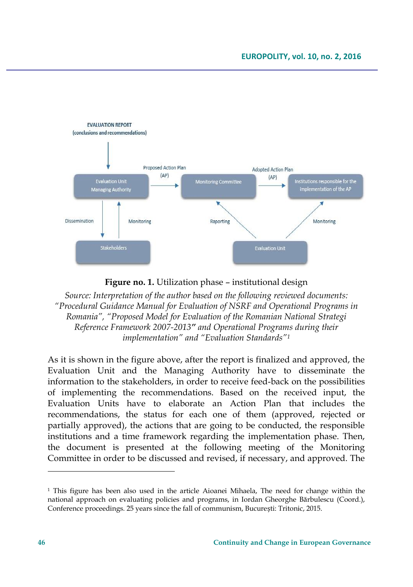

**Figure no. 1.** Utilization phase – institutional design

*Source: Interpretation of the author based on the following reviewed documents: "Procedural Guidance Manual for Evaluation of NSRF and Operational Programs in Romania", "Proposed Model for Evaluation of the Romanian National Strategi Reference Framework 2007-2013" and Operational Programs during their implementation" and "Evaluation Standards"<sup>1</sup>*

As it is shown in the figure above, after the report is finalized and approved, the Evaluation Unit and the Managing Authority have to disseminate the information to the stakeholders, in order to receive feed-back on the possibilities of implementing the recommendations. Based on the received input, the Evaluation Units have to elaborate an Action Plan that includes the recommendations, the status for each one of them (approved, rejected or partially approved), the actions that are going to be conducted, the responsible institutions and a time framework regarding the implementation phase. Then, the document is presented at the following meeting of the Monitoring Committee in order to be discussed and revised, if necessary, and approved. The

 $\overline{\phantom{a}}$ 

<sup>1</sup> This figure has been also used in the article Aioanei Mihaela, The need for change within the national approach on evaluating policies and programs, in Iordan Gheorghe Bărbulescu (Coord.), Conference proceedings. 25 years since the fall of communism, București: Tritonic, 2015.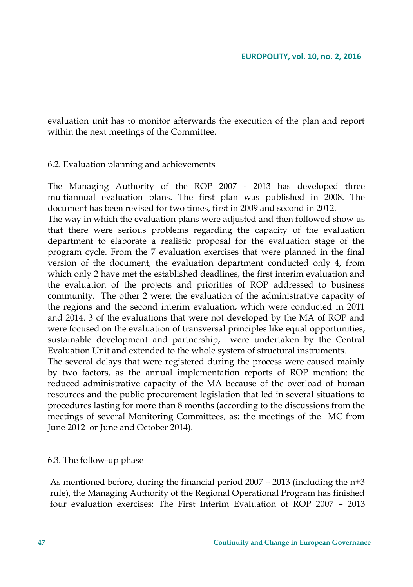evaluation unit has to monitor afterwards the execution of the plan and report within the next meetings of the Committee.

### 6.2. Evaluation planning and achievements

The Managing Authority of the ROP 2007 - 2013 has developed three multiannual evaluation plans. The first plan was published in 2008. The document has been revised for two times, first in 2009 and second in 2012.

The way in which the evaluation plans were adjusted and then followed show us that there were serious problems regarding the capacity of the evaluation department to elaborate a realistic proposal for the evaluation stage of the program cycle. From the 7 evaluation exercises that were planned in the final version of the document, the evaluation department conducted only 4, from which only 2 have met the established deadlines, the first interim evaluation and the evaluation of the projects and priorities of ROP addressed to business community. The other 2 were: the evaluation of the administrative capacity of the regions and the second interim evaluation, which were conducted in 2011 and 2014. 3 of the evaluations that were not developed by the MA of ROP and were focused on the evaluation of transversal principles like equal opportunities, sustainable development and partnership, were undertaken by the Central Evaluation Unit and extended to the whole system of structural instruments.

The several delays that were registered during the process were caused mainly by two factors, as the annual implementation reports of ROP mention: the reduced administrative capacity of the MA because of the overload of human resources and the public procurement legislation that led in several situations to procedures lasting for more than 8 months (according to the discussions from the meetings of several Monitoring Committees, as: the meetings of the MC from June 2012 or June and October 2014).

### 6.3. The follow-up phase

As mentioned before, during the financial period 2007 – 2013 (including the n+3 rule), the Managing Authority of the Regional Operational Program has finished four evaluation exercises: The First Interim Evaluation of ROP 2007 – 2013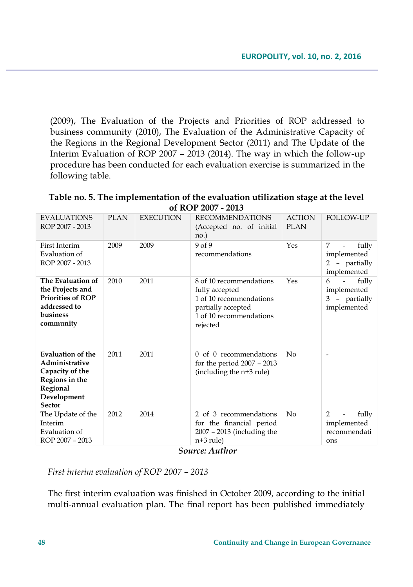(2009), The Evaluation of the Projects and Priorities of ROP addressed to business community (2010), The Evaluation of the Administrative Capacity of the Regions in the Regional Development Sector (2011) and The Update of the Interim Evaluation of ROP 2007 – 2013 (2014). The way in which the follow-up procedure has been conducted for each evaluation exercise is summarized in the following table.

**Table no. 5. The implementation of the evaluation utilization stage at the level of ROP 2007 - 2013**

| <b>EVALUATIONS</b><br>ROP 2007 - 2013                                                                                       | <b>PLAN</b> | <b>EXECUTION</b> | <b>RECOMMENDATIONS</b><br>(Accepted no. of initial<br>$no.$ )                                                                     | <b>ACTION</b><br><b>PLAN</b> | <b>FOLLOW-UP</b>                                                                      |
|-----------------------------------------------------------------------------------------------------------------------------|-------------|------------------|-----------------------------------------------------------------------------------------------------------------------------------|------------------------------|---------------------------------------------------------------------------------------|
| First Interim<br>Evaluation of<br>ROP 2007 - 2013                                                                           | 2009        | 2009             | 9 of 9<br>recommendations                                                                                                         | Yes                          | 7<br>fully<br>$\overline{a}$<br>implemented<br>2 - partially<br>implemented           |
| The Evaluation of<br>the Projects and<br><b>Priorities of ROP</b><br>addressed to<br>business<br>community                  | 2010        | 2011             | 8 of 10 recommendations<br>fully accepted<br>1 of 10 recommendations<br>partially accepted<br>1 of 10 recommendations<br>rejected | Yes                          | fully<br>6<br>$\overline{\phantom{0}}$<br>implemented<br>3 - partially<br>implemented |
| <b>Evaluation of the</b><br>Administrative<br>Capacity of the<br>Regions in the<br>Regional<br>Development<br><b>Sector</b> | 2011        | 2011             | of 0 recommendations<br>$\Omega$<br>for the period $2007 - 2013$<br>(including the n+3 rule)                                      | No                           |                                                                                       |
| The Update of the<br>Interim<br>Evaluation of<br>ROP 2007 - 2013                                                            | 2012        | 2014             | 2 of 3 recommendations<br>for the financial period<br>$2007 - 2013$ (including the<br>$n+3$ rule)                                 | No                           | $\mathcal{P}$<br>fully<br>-<br>implemented<br>recommendati<br>ons                     |
| $Sayawa$ Author                                                                                                             |             |                  |                                                                                                                                   |                              |                                                                                       |

*Source: Author*

*First interim evaluation of ROP 2007 – 2013*

The first interim evaluation was finished in October 2009, according to the initial multi-annual evaluation plan. The final report has been published immediately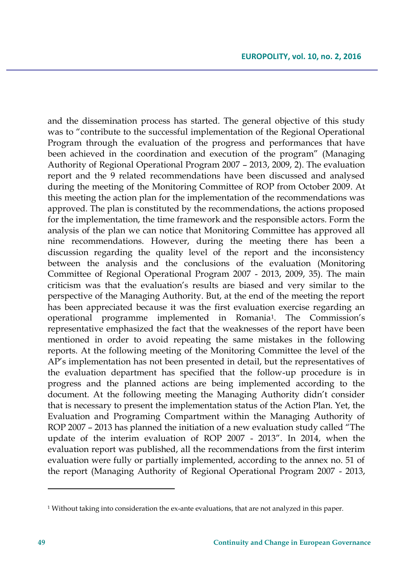and the dissemination process has started. The general objective of this study was to "contribute to the successful implementation of the Regional Operational Program through the evaluation of the progress and performances that have been achieved in the coordination and execution of the program" (Managing Authority of Regional Operational Program 2007 – 2013, 2009, 2). The evaluation report and the 9 related recommendations have been discussed and analysed during the meeting of the Monitoring Committee of ROP from October 2009. At this meeting the action plan for the implementation of the recommendations was approved. The plan is constituted by the recommendations, the actions proposed for the implementation, the time framework and the responsible actors. Form the analysis of the plan we can notice that Monitoring Committee has approved all nine recommendations. However, during the meeting there has been a discussion regarding the quality level of the report and the inconsistency between the analysis and the conclusions of the evaluation (Monitoring Committee of Regional Operational Program 2007 - 2013, 2009, 35). The main criticism was that the evaluation's results are biased and very similar to the perspective of the Managing Authority. But, at the end of the meeting the report has been appreciated because it was the first evaluation exercise regarding an operational programme implemented in Romania<sup>1</sup> . The Commission's representative emphasized the fact that the weaknesses of the report have been mentioned in order to avoid repeating the same mistakes in the following reports. At the following meeting of the Monitoring Committee the level of the AP's implementation has not been presented in detail, but the representatives of the evaluation department has specified that the follow-up procedure is in progress and the planned actions are being implemented according to the document. At the following meeting the Managing Authority didn't consider that is necessary to present the implementation status of the Action Plan. Yet, the Evaluation and Programing Compartment within the Managing Authority of ROP 2007 – 2013 has planned the initiation of a new evaluation study called "The update of the interim evaluation of ROP 2007 - 2013". In 2014, when the evaluation report was published, all the recommendations from the first interim evaluation were fully or partially implemented, according to the annex no. 51 of the report (Managing Authority of Regional Operational Program 2007 - 2013,

 $\overline{\phantom{a}}$ 

<sup>1</sup> Without taking into consideration the ex-ante evaluations, that are not analyzed in this paper.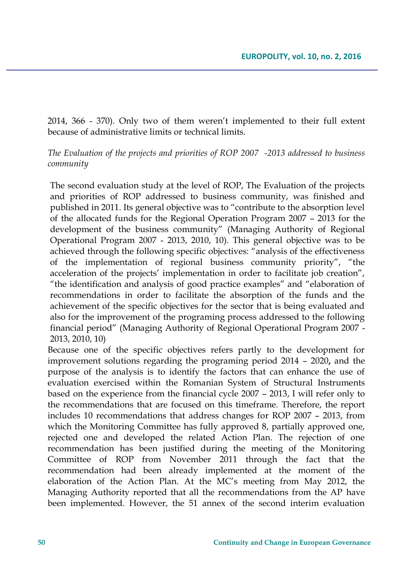2014, 366 - 370). Only two of them weren't implemented to their full extent because of administrative limits or technical limits.

*The Evaluation of the projects and priorities of ROP 2007 -2013 addressed to business community*

The second evaluation study at the level of ROP, The Evaluation of the projects and priorities of ROP addressed to business community, was finished and published in 2011. Its general objective was to "contribute to the absorption level of the allocated funds for the Regional Operation Program 2007 – 2013 for the development of the business community" (Managing Authority of Regional Operational Program 2007 - 2013, 2010, 10). This general objective was to be achieved through the following specific objectives: "analysis of the effectiveness of the implementation of regional business community priority", "the acceleration of the projects' implementation in order to facilitate job creation", "the identification and analysis of good practice examples" and "elaboration of recommendations in order to facilitate the absorption of the funds and the achievement of the specific objectives for the sector that is being evaluated and also for the improvement of the programing process addressed to the following financial period" (Managing Authority of Regional Operational Program 2007 - 2013, 2010, 10)

Because one of the specific objectives refers partly to the development for improvement solutions regarding the programing period 2014 – 2020**,** and the purpose of the analysis is to identify the factors that can enhance the use of evaluation exercised within the Romanian System of Structural Instruments based on the experience from the financial cycle 2007 – 2013, I will refer only to the recommendations that are focused on this timeframe. Therefore, the report includes 10 recommendations that address changes for ROP 2007 – 2013, from which the Monitoring Committee has fully approved 8, partially approved one, rejected one and developed the related Action Plan. The rejection of one recommendation has been justified during the meeting of the Monitoring Committee of ROP from November 2011 through the fact that the recommendation had been already implemented at the moment of the elaboration of the Action Plan. At the MC's meeting from May 2012, the Managing Authority reported that all the recommendations from the AP have been implemented. However, the 51 annex of the second interim evaluation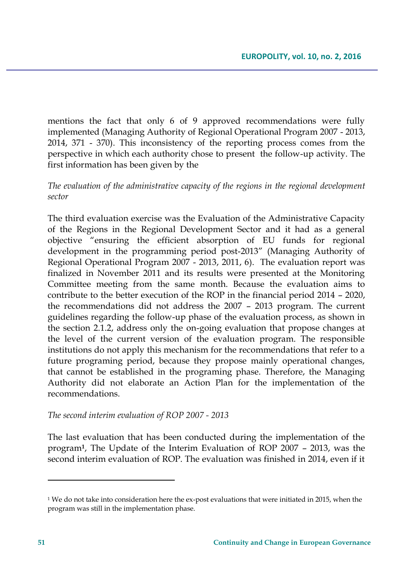mentions the fact that only 6 of 9 approved recommendations were fully implemented (Managing Authority of Regional Operational Program 2007 - 2013, 2014, 371 - 370). This inconsistency of the reporting process comes from the perspective in which each authority chose to present the follow-up activity. The first information has been given by the

*The evaluation of the administrative capacity of the regions in the regional development sector*

The third evaluation exercise was the Evaluation of the Administrative Capacity of the Regions in the Regional Development Sector and it had as a general objective "ensuring the efficient absorption of EU funds for regional development in the programming period post-2013" (Managing Authority of Regional Operational Program 2007 - 2013, 2011, 6). The evaluation report was finalized in November 2011 and its results were presented at the Monitoring Committee meeting from the same month. Because the evaluation aims to contribute to the better execution of the ROP in the financial period 2014 – 2020, the recommendations did not address the 2007 – 2013 program. The current guidelines regarding the follow-up phase of the evaluation process, as shown in the section 2.1.2, address only the on-going evaluation that propose changes at the level of the current version of the evaluation program. The responsible institutions do not apply this mechanism for the recommendations that refer to a future programing period, because they propose mainly operational changes, that cannot be established in the programing phase. Therefore, the Managing Authority did not elaborate an Action Plan for the implementation of the recommendations.

*The second interim evaluation of ROP 2007 - 2013*

The last evaluation that has been conducted during the implementation of the program**<sup>1</sup>** , The Update of the Interim Evaluation of ROP 2007 – 2013, was the second interim evaluation of ROP. The evaluation was finished in 2014, even if it

 $\overline{a}$ 

 $1$  We do not take into consideration here the ex-post evaluations that were initiated in 2015, when the program was still in the implementation phase.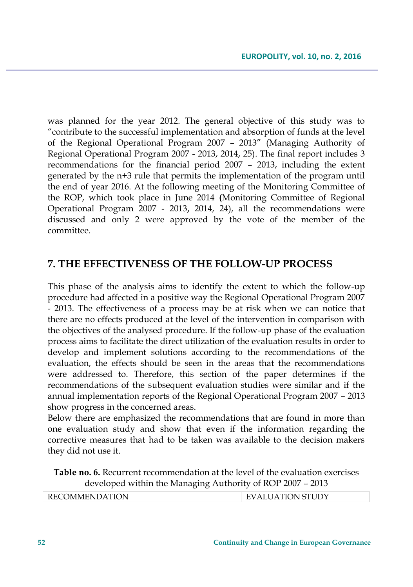was planned for the year 2012. The general objective of this study was to "contribute to the successful implementation and absorption of funds at the level of the Regional Operational Program 2007 – 2013" (Managing Authority of Regional Operational Program 2007 - 2013, 2014, 25). The final report includes 3 recommendations for the financial period 2007 – 2013, including the extent generated by the n+3 rule that permits the implementation of the program until the end of year 2016. At the following meeting of the Monitoring Committee of the ROP, which took place in June 2014 **(**Monitoring Committee of Regional Operational Program 2007 - 2013**,** 2014, 24), all the recommendations were discussed and only 2 were approved by the vote of the member of the committee.

# **7. THE EFFECTIVENESS OF THE FOLLOW-UP PROCESS**

This phase of the analysis aims to identify the extent to which the follow-up procedure had affected in a positive way the Regional Operational Program 2007 - 2013. The effectiveness of a process may be at risk when we can notice that there are no effects produced at the level of the intervention in comparison with the objectives of the analysed procedure. If the follow-up phase of the evaluation process aims to facilitate the direct utilization of the evaluation results in order to develop and implement solutions according to the recommendations of the evaluation, the effects should be seen in the areas that the recommendations were addressed to. Therefore, this section of the paper determines if the recommendations of the subsequent evaluation studies were similar and if the annual implementation reports of the Regional Operational Program 2007 – 2013 show progress in the concerned areas.

Below there are emphasized the recommendations that are found in more than one evaluation study and show that even if the information regarding the corrective measures that had to be taken was available to the decision makers they did not use it.

**Table no. 6.** Recurrent recommendation at the level of the evaluation exercises developed within the Managing Authority of ROP 2007 – 2013

| COMMENDATION<br><b>TION STUDY</b><br>A<br><b>INLUOININILIND</b><br>. |
|----------------------------------------------------------------------|
|----------------------------------------------------------------------|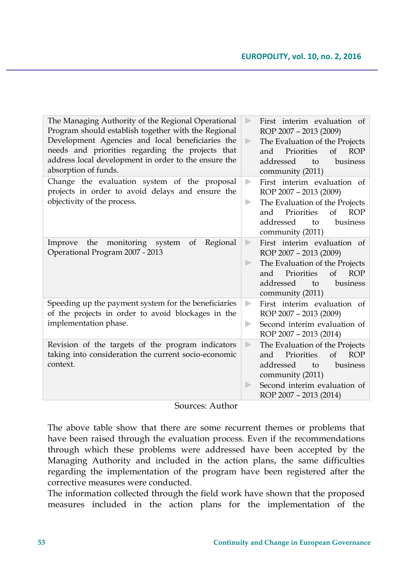| The Managing Authority of the Regional Operational<br>Program should establish together with the Regional<br>Development Agencies and local beneficiaries the<br>needs and priorities regarding the projects that<br>address local development in order to the ensure the<br>absorption of funds. | $\mathbb{R}$<br>$\blacktriangleright$          | First interim evaluation of<br>ROP 2007 - 2013 (2009)<br>The Evaluation of the Projects<br>$\sigma$ f<br><b>ROP</b><br>and<br>Priorities<br>addressed<br>business<br>to<br>community (2011)  |
|---------------------------------------------------------------------------------------------------------------------------------------------------------------------------------------------------------------------------------------------------------------------------------------------------|------------------------------------------------|----------------------------------------------------------------------------------------------------------------------------------------------------------------------------------------------|
| Change the evaluation system of the proposal<br>projects in order to avoid delays and ensure the<br>objectivity of the process.                                                                                                                                                                   | ь<br>▶                                         | First interim evaluation of<br>ROP 2007 - 2013 (2009)<br>The Evaluation of the Projects<br>Priorities<br>of<br><b>ROP</b><br>and<br>addressed<br>business<br>to<br>community (2011)          |
| monitoring system<br>the<br>Regional<br>of<br>Improve<br>Operational Program 2007 - 2013                                                                                                                                                                                                          | $\mathcal{D}$<br>$\blacktriangleright$         | First interim evaluation of<br>ROP 2007 - 2013 (2009)<br>The Evaluation of the Projects<br>Priorities<br>of<br><b>ROP</b><br>and<br>addressed<br>business<br>to<br>community (2011)          |
| Speeding up the payment system for the beneficiaries<br>of the projects in order to avoid blockages in the<br>implementation phase.                                                                                                                                                               | $\blacktriangleright$<br>$\blacktriangleright$ | First interim evaluation of<br>ROP 2007 - 2013 (2009)<br>Second interim evaluation of<br>ROP 2007 - 2013 (2014)                                                                              |
| Revision of the targets of the program indicators<br>taking into consideration the current socio-economic<br>context.                                                                                                                                                                             | $\blacktriangleright$<br>Þ                     | The Evaluation of the Projects<br>$\alpha$ f<br><b>ROP</b><br>Priorities<br>and<br>addressed<br>business<br>to<br>community (2011)<br>Second interim evaluation of<br>ROP 2007 - 2013 (2014) |

#### Sources: Author

The above table show that there are some recurrent themes or problems that have been raised through the evaluation process. Even if the recommendations through which these problems were addressed have been accepted by the Managing Authority and included in the action plans, the same difficulties regarding the implementation of the program have been registered after the corrective measures were conducted.

The information collected through the field work have shown that the proposed measures included in the action plans for the implementation of the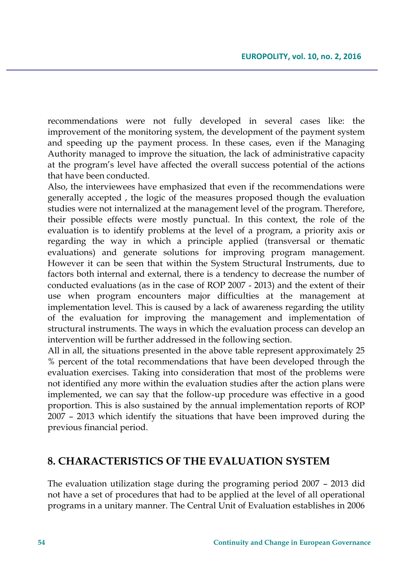recommendations were not fully developed in several cases like: the improvement of the monitoring system, the development of the payment system and speeding up the payment process. In these cases, even if the Managing Authority managed to improve the situation, the lack of administrative capacity at the program's level have affected the overall success potential of the actions that have been conducted.

Also, the interviewees have emphasized that even if the recommendations were generally accepted , the logic of the measures proposed though the evaluation studies were not internalized at the management level of the program. Therefore, their possible effects were mostly punctual. In this context, the role of the evaluation is to identify problems at the level of a program, a priority axis or regarding the way in which a principle applied (transversal or thematic evaluations) and generate solutions for improving program management. However it can be seen that within the System Structural Instruments, due to factors both internal and external, there is a tendency to decrease the number of conducted evaluations (as in the case of ROP 2007 - 2013) and the extent of their use when program encounters major difficulties at the management at implementation level. This is caused by a lack of awareness regarding the utility of the evaluation for improving the management and implementation of structural instruments. The ways in which the evaluation process can develop an intervention will be further addressed in the following section.

All in all, the situations presented in the above table represent approximately 25 % percent of the total recommendations that have been developed through the evaluation exercises. Taking into consideration that most of the problems were not identified any more within the evaluation studies after the action plans were implemented, we can say that the follow-up procedure was effective in a good proportion. This is also sustained by the annual implementation reports of ROP 2007 – 2013 which identify the situations that have been improved during the previous financial period.

## **8. CHARACTERISTICS OF THE EVALUATION SYSTEM**

The evaluation utilization stage during the programing period 2007 – 2013 did not have a set of procedures that had to be applied at the level of all operational programs in a unitary manner. The Central Unit of Evaluation establishes in 2006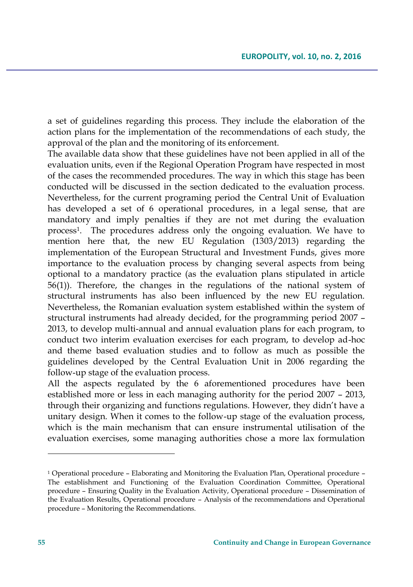a set of guidelines regarding this process. They include the elaboration of the action plans for the implementation of the recommendations of each study, the approval of the plan and the monitoring of its enforcement.

The available data show that these guidelines have not been applied in all of the evaluation units, even if the Regional Operation Program have respected in most of the cases the recommended procedures. The way in which this stage has been conducted will be discussed in the section dedicated to the evaluation process. Nevertheless, for the current programing period the Central Unit of Evaluation has developed a set of 6 operational procedures, in a legal sense, that are mandatory and imply penalties if they are not met during the evaluation process<sup>1</sup> . The procedures address only the ongoing evaluation. We have to mention here that, the new EU Regulation (1303/2013) regarding the implementation of the European Structural and Investment Funds, gives more importance to the evaluation process by changing several aspects from being optional to a mandatory practice (as the evaluation plans stipulated in article 56(1)). Therefore, the changes in the regulations of the national system of structural instruments has also been influenced by the new EU regulation. Nevertheless, the Romanian evaluation system established within the system of structural instruments had already decided, for the programming period 2007 – 2013, to develop multi-annual and annual evaluation plans for each program, to conduct two interim evaluation exercises for each program, to develop ad-hoc and theme based evaluation studies and to follow as much as possible the guidelines developed by the Central Evaluation Unit in 2006 regarding the follow-up stage of the evaluation process.

All the aspects regulated by the 6 aforementioned procedures have been established more or less in each managing authority for the period 2007 – 2013, through their organizing and functions regulations. However, they didn't have a unitary design. When it comes to the follow-up stage of the evaluation process, which is the main mechanism that can ensure instrumental utilisation of the evaluation exercises, some managing authorities chose a more lax formulation

 $\overline{\phantom{a}}$ 

<sup>1</sup> Operational procedure – Elaborating and Monitoring the Evaluation Plan, Operational procedure – The establishment and Functioning of the Evaluation Coordination Committee, Operational procedure – Ensuring Quality in the Evaluation Activity, Operational procedure – Dissemination of the Evaluation Results, Operational procedure – Analysis of the recommendations and Operational procedure – Monitoring the Recommendations.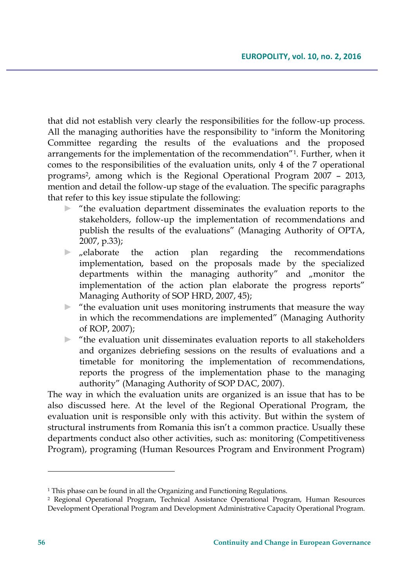that did not establish very clearly the responsibilities for the follow-up process. All the managing authorities have the responsibility to "inform the Monitoring Committee regarding the results of the evaluations and the proposed arrangements for the implementation of the recommendation"<sup>1</sup> . Further, when it comes to the responsibilities of the evaluation units, only 4 of the 7 operational programs<sup>2</sup> , among which is the Regional Operational Program 2007 – 2013, mention and detail the follow-up stage of the evaluation. The specific paragraphs that refer to this key issue stipulate the following:

- ► "the evaluation department disseminates the evaluation reports to the stakeholders, follow-up the implementation of recommendations and publish the results of the evaluations" (Managing Authority of OPTA, 2007, p.33);
- $\blacktriangleright$  "elaborate the action plan regarding the recommendations implementation, based on the proposals made by the specialized departments within the managing authority" and "monitor the implementation of the action plan elaborate the progress reports" Managing Authority of SOP HRD, 2007, 45);
- $\blacktriangleright$  "the evaluation unit uses monitoring instruments that measure the way in which the recommendations are implemented" (Managing Authority of ROP, 2007);
- $\blacktriangleright$  "the evaluation unit disseminates evaluation reports to all stakeholders and organizes debriefing sessions on the results of evaluations and a timetable for monitoring the implementation of recommendations, reports the progress of the implementation phase to the managing authority" (Managing Authority of SOP DAC, 2007).

The way in which the evaluation units are organized is an issue that has to be also discussed here. At the level of the Regional Operational Program, the evaluation unit is responsible only with this activity. But within the system of structural instruments from Romania this isn't a common practice. Usually these departments conduct also other activities, such as: monitoring (Competitiveness Program), programing (Human Resources Program and Environment Program)

 $\overline{\phantom{a}}$ 

<sup>&</sup>lt;sup>1</sup> This phase can be found in all the Organizing and Functioning Regulations.

<sup>2</sup> Regional Operational Program, Technical Assistance Operational Program, Human Resources Development Operational Program and Development Administrative Capacity Operational Program.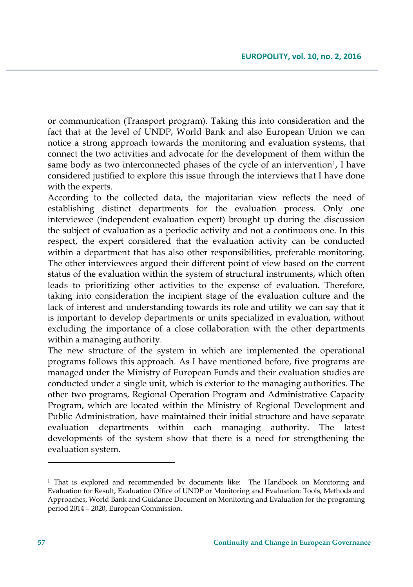or communication (Transport program). Taking this into consideration and the fact that at the level of UNDP, World Bank and also European Union we can notice a strong approach towards the monitoring and evaluation systems, that connect the two activities and advocate for the development of them within the same body as two interconnected phases of the cycle of an intervention<sup>1</sup>, I have considered justified to explore this issue through the interviews that I have done with the experts.

According to the collected data, the majoritarian view reflects the need of establishing distinct departments for the evaluation process. Only one interviewee (independent evaluation expert) brought up during the discussion the subject of evaluation as a periodic activity and not a continuous one. In this respect, the expert considered that the evaluation activity can be conducted within a department that has also other responsibilities, preferable monitoring. The other interviewees argued their different point of view based on the current status of the evaluation within the system of structural instruments, which often leads to prioritizing other activities to the expense of evaluation. Therefore, taking into consideration the incipient stage of the evaluation culture and the lack of interest and understanding towards its role and utility we can say that it is important to develop departments or units specialized in evaluation, without excluding the importance of a close collaboration with the other departments within a managing authority.

The new structure of the system in which are implemented the operational programs follows this approach. As I have mentioned before, five programs are managed under the Ministry of European Funds and their evaluation studies are conducted under a single unit, which is exterior to the managing authorities. The other two programs, Regional Operation Program and Administrative Capacity Program, which are located within the Ministry of Regional Development and Public Administration, have maintained their initial structure and have separate evaluation departments within each managing authority. The latest developments of the system show that there is a need for strengthening the evaluation system.

 $\overline{a}$ 

<sup>&</sup>lt;sup>1</sup> That is explored and recommended by documents like: The Handbook on Monitoring and Evaluation for Result, Evaluation Office of UNDP or Monitoring and Evaluation: Tools, Methods and Approaches, World Bank and Guidance Document on Monitoring and Evaluation for the programing period 2014 – 2020, European Commission.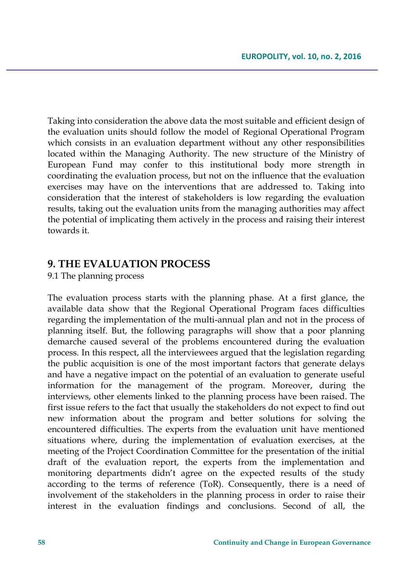Taking into consideration the above data the most suitable and efficient design of the evaluation units should follow the model of Regional Operational Program which consists in an evaluation department without any other responsibilities located within the Managing Authority. The new structure of the Ministry of European Fund may confer to this institutional body more strength in coordinating the evaluation process, but not on the influence that the evaluation exercises may have on the interventions that are addressed to. Taking into consideration that the interest of stakeholders is low regarding the evaluation results, taking out the evaluation units from the managing authorities may affect the potential of implicating them actively in the process and raising their interest towards it.

### **9. THE EVALUATION PROCESS**

#### 9.1 The planning process

The evaluation process starts with the planning phase. At a first glance, the available data show that the Regional Operational Program faces difficulties regarding the implementation of the multi-annual plan and not in the process of planning itself. But, the following paragraphs will show that a poor planning demarche caused several of the problems encountered during the evaluation process. In this respect, all the interviewees argued that the legislation regarding the public acquisition is one of the most important factors that generate delays and have a negative impact on the potential of an evaluation to generate useful information for the management of the program. Moreover, during the interviews, other elements linked to the planning process have been raised. The first issue refers to the fact that usually the stakeholders do not expect to find out new information about the program and better solutions for solving the encountered difficulties. The experts from the evaluation unit have mentioned situations where, during the implementation of evaluation exercises, at the meeting of the Project Coordination Committee for the presentation of the initial draft of the evaluation report, the experts from the implementation and monitoring departments didn't agree on the expected results of the study according to the terms of reference (ToR). Consequently, there is a need of involvement of the stakeholders in the planning process in order to raise their interest in the evaluation findings and conclusions. Second of all, the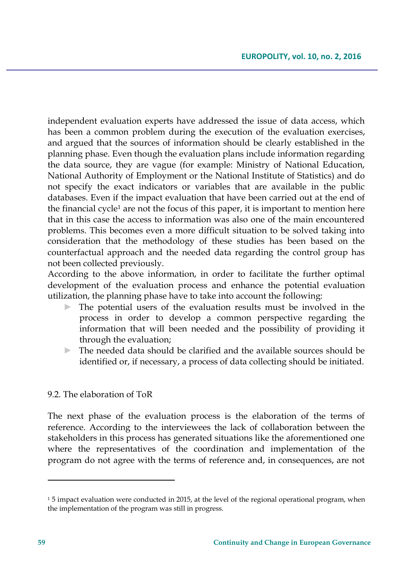independent evaluation experts have addressed the issue of data access, which has been a common problem during the execution of the evaluation exercises, and argued that the sources of information should be clearly established in the planning phase. Even though the evaluation plans include information regarding the data source, they are vague (for example: Ministry of National Education, National Authority of Employment or the National Institute of Statistics) and do not specify the exact indicators or variables that are available in the public databases. Even if the impact evaluation that have been carried out at the end of the financial cycle<sup>1</sup> are not the focus of this paper, it is important to mention here that in this case the access to information was also one of the main encountered problems. This becomes even a more difficult situation to be solved taking into consideration that the methodology of these studies has been based on the counterfactual approach and the needed data regarding the control group has not been collected previously.

According to the above information, in order to facilitate the further optimal development of the evaluation process and enhance the potential evaluation utilization, the planning phase have to take into account the following:

- ► The potential users of the evaluation results must be involved in the process in order to develop a common perspective regarding the information that will been needed and the possibility of providing it through the evaluation;
- ► The needed data should be clarified and the available sources should be identified or, if necessary, a process of data collecting should be initiated.

### 9.2. The elaboration of ToR

The next phase of the evaluation process is the elaboration of the terms of reference. According to the interviewees the lack of collaboration between the stakeholders in this process has generated situations like the aforementioned one where the representatives of the coordination and implementation of the program do not agree with the terms of reference and, in consequences, are not

 $\overline{a}$ 

<sup>&</sup>lt;sup>1</sup> 5 impact evaluation were conducted in 2015, at the level of the regional operational program, when the implementation of the program was still in progress.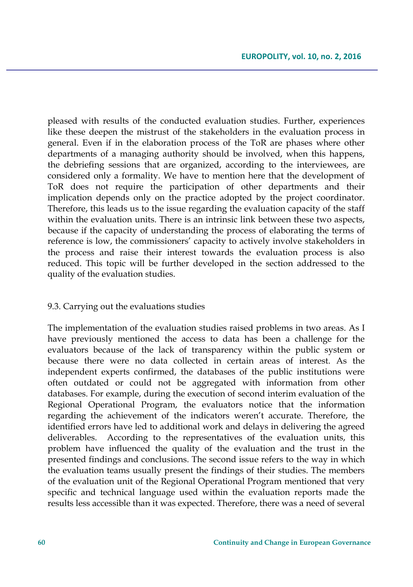pleased with results of the conducted evaluation studies. Further, experiences like these deepen the mistrust of the stakeholders in the evaluation process in general. Even if in the elaboration process of the ToR are phases where other departments of a managing authority should be involved, when this happens, the debriefing sessions that are organized, according to the interviewees, are considered only a formality. We have to mention here that the development of ToR does not require the participation of other departments and their implication depends only on the practice adopted by the project coordinator. Therefore, this leads us to the issue regarding the evaluation capacity of the staff within the evaluation units. There is an intrinsic link between these two aspects, because if the capacity of understanding the process of elaborating the terms of reference is low, the commissioners' capacity to actively involve stakeholders in the process and raise their interest towards the evaluation process is also reduced. This topic will be further developed in the section addressed to the quality of the evaluation studies.

### 9.3. Carrying out the evaluations studies

The implementation of the evaluation studies raised problems in two areas. As I have previously mentioned the access to data has been a challenge for the evaluators because of the lack of transparency within the public system or because there were no data collected in certain areas of interest. As the independent experts confirmed, the databases of the public institutions were often outdated or could not be aggregated with information from other databases. For example, during the execution of second interim evaluation of the Regional Operational Program, the evaluators notice that the information regarding the achievement of the indicators weren't accurate. Therefore, the identified errors have led to additional work and delays in delivering the agreed deliverables. According to the representatives of the evaluation units, this problem have influenced the quality of the evaluation and the trust in the presented findings and conclusions. The second issue refers to the way in which the evaluation teams usually present the findings of their studies. The members of the evaluation unit of the Regional Operational Program mentioned that very specific and technical language used within the evaluation reports made the results less accessible than it was expected. Therefore, there was a need of several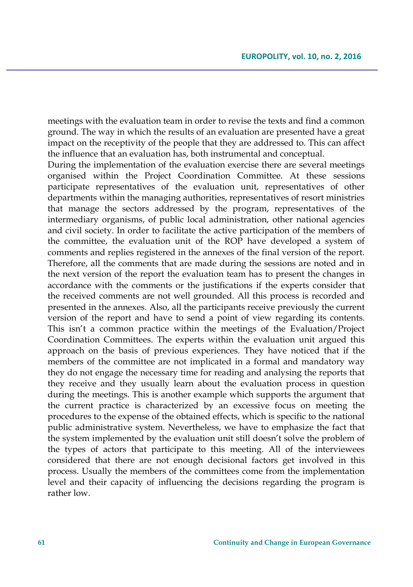meetings with the evaluation team in order to revise the texts and find a common ground. The way in which the results of an evaluation are presented have a great impact on the receptivity of the people that they are addressed to. This can affect the influence that an evaluation has, both instrumental and conceptual.

During the implementation of the evaluation exercise there are several meetings organised within the Project Coordination Committee. At these sessions participate representatives of the evaluation unit, representatives of other departments within the managing authorities, representatives of resort ministries that manage the sectors addressed by the program, representatives of the intermediary organisms, of public local administration, other national agencies and civil society. In order to facilitate the active participation of the members of the committee, the evaluation unit of the ROP have developed a system of comments and replies registered in the annexes of the final version of the report. Therefore, all the comments that are made during the sessions are noted and in the next version of the report the evaluation team has to present the changes in accordance with the comments or the justifications if the experts consider that the received comments are not well grounded. All this process is recorded and presented in the annexes. Also, all the participants receive previously the current version of the report and have to send a point of view regarding its contents. This isn't a common practice within the meetings of the Evaluation/Project Coordination Committees. The experts within the evaluation unit argued this approach on the basis of previous experiences. They have noticed that if the members of the committee are not implicated in a formal and mandatory way they do not engage the necessary time for reading and analysing the reports that they receive and they usually learn about the evaluation process in question during the meetings. This is another example which supports the argument that the current practice is characterized by an excessive focus on meeting the procedures to the expense of the obtained effects, which is specific to the national public administrative system. Nevertheless, we have to emphasize the fact that the system implemented by the evaluation unit still doesn't solve the problem of the types of actors that participate to this meeting. All of the interviewees considered that there are not enough decisional factors get involved in this process. Usually the members of the committees come from the implementation level and their capacity of influencing the decisions regarding the program is rather low.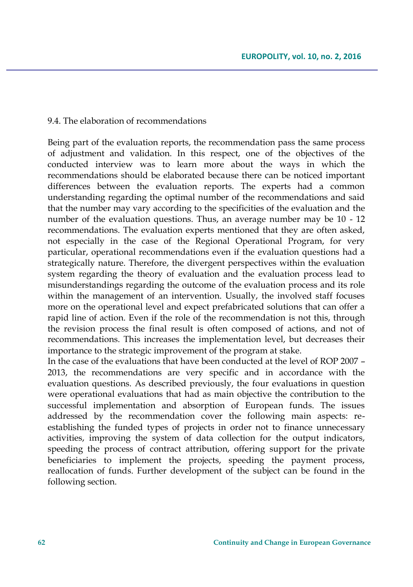#### 9.4. The elaboration of recommendations

Being part of the evaluation reports, the recommendation pass the same process of adjustment and validation. In this respect, one of the objectives of the conducted interview was to learn more about the ways in which the recommendations should be elaborated because there can be noticed important differences between the evaluation reports. The experts had a common understanding regarding the optimal number of the recommendations and said that the number may vary according to the specificities of the evaluation and the number of the evaluation questions. Thus, an average number may be 10 - 12 recommendations. The evaluation experts mentioned that they are often asked, not especially in the case of the Regional Operational Program, for very particular, operational recommendations even if the evaluation questions had a strategically nature. Therefore, the divergent perspectives within the evaluation system regarding the theory of evaluation and the evaluation process lead to misunderstandings regarding the outcome of the evaluation process and its role within the management of an intervention. Usually, the involved staff focuses more on the operational level and expect prefabricated solutions that can offer a rapid line of action. Even if the role of the recommendation is not this, through the revision process the final result is often composed of actions, and not of recommendations. This increases the implementation level, but decreases their importance to the strategic improvement of the program at stake.

In the case of the evaluations that have been conducted at the level of ROP 2007 – 2013, the recommendations are very specific and in accordance with the evaluation questions. As described previously, the four evaluations in question were operational evaluations that had as main objective the contribution to the successful implementation and absorption of European funds. The issues addressed by the recommendation cover the following main aspects: reestablishing the funded types of projects in order not to finance unnecessary activities, improving the system of data collection for the output indicators, speeding the process of contract attribution, offering support for the private beneficiaries to implement the projects, speeding the payment process, reallocation of funds. Further development of the subject can be found in the following section.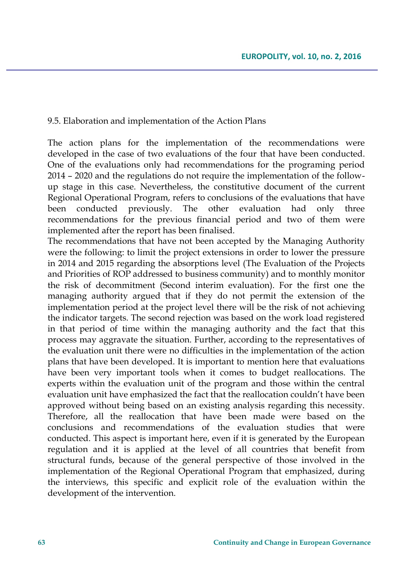9.5. Elaboration and implementation of the Action Plans

The action plans for the implementation of the recommendations were developed in the case of two evaluations of the four that have been conducted. One of the evaluations only had recommendations for the programing period 2014 – 2020 and the regulations do not require the implementation of the followup stage in this case. Nevertheless, the constitutive document of the current Regional Operational Program, refers to conclusions of the evaluations that have been conducted previously. The other evaluation had only three recommendations for the previous financial period and two of them were implemented after the report has been finalised.

The recommendations that have not been accepted by the Managing Authority were the following: to limit the project extensions in order to lower the pressure in 2014 and 2015 regarding the absorptions level (The Evaluation of the Projects and Priorities of ROP addressed to business community) and to monthly monitor the risk of decommitment (Second interim evaluation). For the first one the managing authority argued that if they do not permit the extension of the implementation period at the project level there will be the risk of not achieving the indicator targets. The second rejection was based on the work load registered in that period of time within the managing authority and the fact that this process may aggravate the situation. Further, according to the representatives of the evaluation unit there were no difficulties in the implementation of the action plans that have been developed. It is important to mention here that evaluations have been very important tools when it comes to budget reallocations. The experts within the evaluation unit of the program and those within the central evaluation unit have emphasized the fact that the reallocation couldn't have been approved without being based on an existing analysis regarding this necessity. Therefore, all the reallocation that have been made were based on the conclusions and recommendations of the evaluation studies that were conducted. This aspect is important here, even if it is generated by the European regulation and it is applied at the level of all countries that benefit from structural funds, because of the general perspective of those involved in the implementation of the Regional Operational Program that emphasized, during the interviews, this specific and explicit role of the evaluation within the development of the intervention.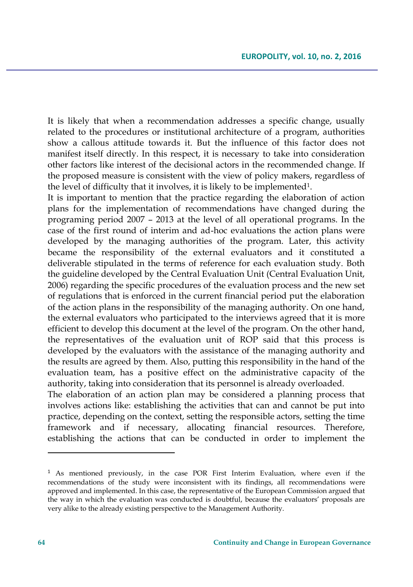It is likely that when a recommendation addresses a specific change, usually related to the procedures or institutional architecture of a program, authorities show a callous attitude towards it. But the influence of this factor does not manifest itself directly. In this respect, it is necessary to take into consideration other factors like interest of the decisional actors in the recommended change. If the proposed measure is consistent with the view of policy makers, regardless of the level of difficulty that it involves, it is likely to be implemented $^1$ .

It is important to mention that the practice regarding the elaboration of action plans for the implementation of recommendations have changed during the programing period 2007 – 2013 at the level of all operational programs. In the case of the first round of interim and ad-hoc evaluations the action plans were developed by the managing authorities of the program. Later, this activity became the responsibility of the external evaluators and it constituted a deliverable stipulated in the terms of reference for each evaluation study. Both the guideline developed by the Central Evaluation Unit (Central Evaluation Unit, 2006) regarding the specific procedures of the evaluation process and the new set of regulations that is enforced in the current financial period put the elaboration of the action plans in the responsibility of the managing authority. On one hand, the external evaluators who participated to the interviews agreed that it is more efficient to develop this document at the level of the program. On the other hand, the representatives of the evaluation unit of ROP said that this process is developed by the evaluators with the assistance of the managing authority and the results are agreed by them. Also, putting this responsibility in the hand of the evaluation team, has a positive effect on the administrative capacity of the authority, taking into consideration that its personnel is already overloaded.

The elaboration of an action plan may be considered a planning process that involves actions like: establishing the activities that can and cannot be put into practice, depending on the context, setting the responsible actors, setting the time framework and if necessary, allocating financial resources. Therefore, establishing the actions that can be conducted in order to implement the

 $\overline{\phantom{a}}$ 

<sup>1</sup> As mentioned previously, in the case POR First Interim Evaluation, where even if the recommendations of the study were inconsistent with its findings, all recommendations were approved and implemented. In this case, the representative of the European Commission argued that the way in which the evaluation was conducted is doubtful, because the evaluators' proposals are very alike to the already existing perspective to the Management Authority.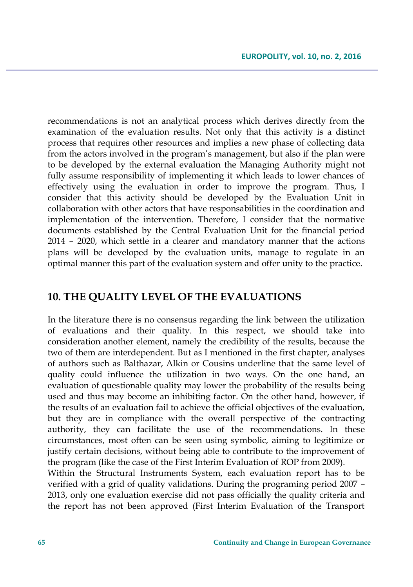recommendations is not an analytical process which derives directly from the examination of the evaluation results. Not only that this activity is a distinct process that requires other resources and implies a new phase of collecting data from the actors involved in the program's management, but also if the plan were to be developed by the external evaluation the Managing Authority might not fully assume responsibility of implementing it which leads to lower chances of effectively using the evaluation in order to improve the program. Thus, I consider that this activity should be developed by the Evaluation Unit in collaboration with other actors that have responsabilities in the coordination and implementation of the intervention. Therefore, I consider that the normative documents established by the Central Evaluation Unit for the financial period 2014 – 2020, which settle in a clearer and mandatory manner that the actions plans will be developed by the evaluation units, manage to regulate in an optimal manner this part of the evaluation system and offer unity to the practice.

## **10. THE QUALITY LEVEL OF THE EVALUATIONS**

In the literature there is no consensus regarding the link between the utilization of evaluations and their quality. In this respect, we should take into consideration another element, namely the credibility of the results, because the two of them are interdependent. But as I mentioned in the first chapter, analyses of authors such as Balthazar, Alkin or Cousins underline that the same level of quality could influence the utilization in two ways. On the one hand, an evaluation of questionable quality may lower the probability of the results being used and thus may become an inhibiting factor. On the other hand, however, if the results of an evaluation fail to achieve the official objectives of the evaluation, but they are in compliance with the overall perspective of the contracting authority, they can facilitate the use of the recommendations. In these circumstances, most often can be seen using symbolic, aiming to legitimize or justify certain decisions, without being able to contribute to the improvement of the program (like the case of the First Interim Evaluation of ROP from 2009).

Within the Structural Instruments System, each evaluation report has to be verified with a grid of quality validations. During the programing period 2007 – 2013, only one evaluation exercise did not pass officially the quality criteria and the report has not been approved (First Interim Evaluation of the Transport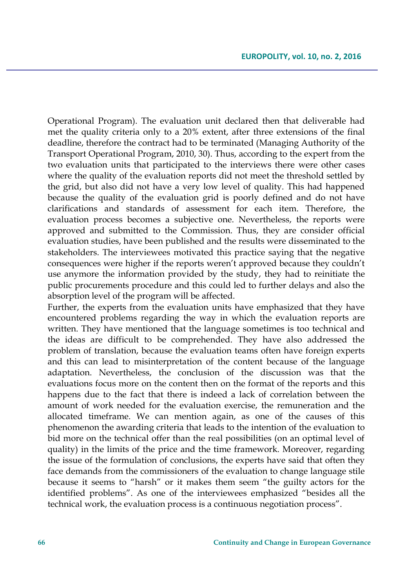Operational Program). The evaluation unit declared then that deliverable had met the quality criteria only to a 20% extent, after three extensions of the final deadline, therefore the contract had to be terminated (Managing Authority of the Transport Operational Program, 2010, 30). Thus, according to the expert from the two evaluation units that participated to the interviews there were other cases where the quality of the evaluation reports did not meet the threshold settled by the grid, but also did not have a very low level of quality. This had happened because the quality of the evaluation grid is poorly defined and do not have clarifications and standards of assessment for each item. Therefore, the evaluation process becomes a subjective one. Nevertheless, the reports were approved and submitted to the Commission. Thus, they are consider official evaluation studies, have been published and the results were disseminated to the stakeholders. The interviewees motivated this practice saying that the negative consequences were higher if the reports weren't approved because they couldn't use anymore the information provided by the study, they had to reinitiate the public procurements procedure and this could led to further delays and also the absorption level of the program will be affected.

Further, the experts from the evaluation units have emphasized that they have encountered problems regarding the way in which the evaluation reports are written. They have mentioned that the language sometimes is too technical and the ideas are difficult to be comprehended. They have also addressed the problem of translation, because the evaluation teams often have foreign experts and this can lead to misinterpretation of the content because of the language adaptation. Nevertheless, the conclusion of the discussion was that the evaluations focus more on the content then on the format of the reports and this happens due to the fact that there is indeed a lack of correlation between the amount of work needed for the evaluation exercise, the remuneration and the allocated timeframe. We can mention again, as one of the causes of this phenomenon the awarding criteria that leads to the intention of the evaluation to bid more on the technical offer than the real possibilities (on an optimal level of quality) in the limits of the price and the time framework. Moreover, regarding the issue of the formulation of conclusions, the experts have said that often they face demands from the commissioners of the evaluation to change language stile because it seems to "harsh" or it makes them seem "the guilty actors for the identified problems". As one of the interviewees emphasized "besides all the technical work, the evaluation process is a continuous negotiation process".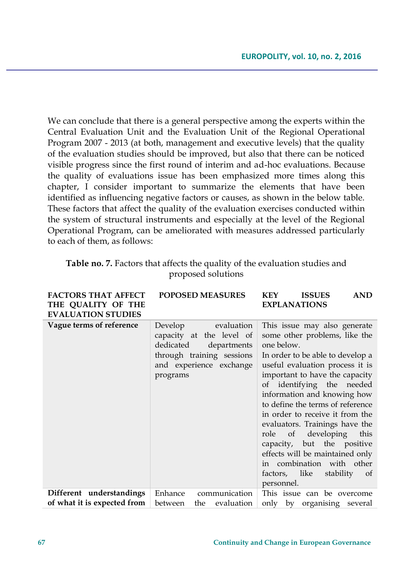We can conclude that there is a general perspective among the experts within the Central Evaluation Unit and the Evaluation Unit of the Regional Operational Program 2007 - 2013 (at both, management and executive levels) that the quality of the evaluation studies should be improved, but also that there can be noticed visible progress since the first round of interim and ad-hoc evaluations. Because the quality of evaluations issue has been emphasized more times along this chapter, I consider important to summarize the elements that have been identified as influencing negative factors or causes, as shown in the below table. These factors that affect the quality of the evaluation exercises conducted within the system of structural instruments and especially at the level of the Regional Operational Program, can be ameliorated with measures addressed particularly to each of them, as follows:

| Table no. 7. Factors that affects the quality of the evaluation studies and |
|-----------------------------------------------------------------------------|
| proposed solutions                                                          |

| <b>FACTORS THAT AFFECT</b><br>THE QUALITY OF THE<br><b>EVALUATION STUDIES</b> | <b>POPOSED MEASURES</b>                                                                                                                           | <b>KEY</b><br><b>ISSUES</b><br><b>AND</b><br><b>EXPLANATIONS</b>                                                                                                                                                                                                                                                                                                                                                                                                                                                                     |
|-------------------------------------------------------------------------------|---------------------------------------------------------------------------------------------------------------------------------------------------|--------------------------------------------------------------------------------------------------------------------------------------------------------------------------------------------------------------------------------------------------------------------------------------------------------------------------------------------------------------------------------------------------------------------------------------------------------------------------------------------------------------------------------------|
| Vague terms of reference                                                      | Develop<br>evaluation<br>capacity at the level of<br>dedicated<br>departments<br>through training sessions<br>and experience exchange<br>programs | This issue may also generate<br>some other problems, like the<br>one below.<br>In order to be able to develop a<br>useful evaluation process it is<br>important to have the capacity<br>of identifying the needed<br>information and knowing how<br>to define the terms of reference<br>in order to receive it from the<br>evaluators. Trainings have the<br>role of developing<br>this<br>capacity, but the positive<br>effects will be maintained only<br>in combination with other<br>factors, like<br>stability of<br>personnel. |
| Different understandings<br>of what it is expected from                       | communication<br>Enhance<br>between<br>the<br>evaluation                                                                                          | This issue can be overcome<br>only by organising several                                                                                                                                                                                                                                                                                                                                                                                                                                                                             |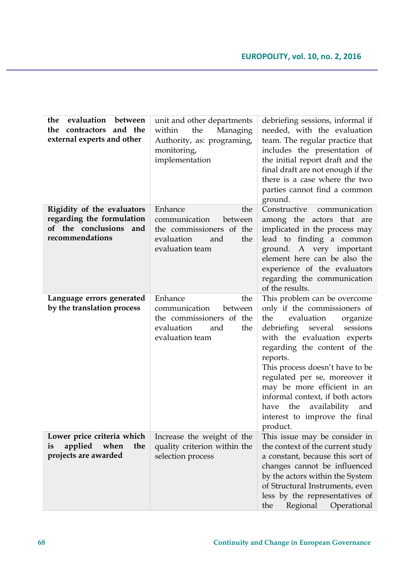| evaluation<br>between<br>the<br>the contractors and the<br>external experts and other                   | unit and other departments<br>the<br>within<br>Managing<br>Authority, as: programing,<br>monitoring,<br>implementation | debriefing sessions, informal if<br>needed, with the evaluation<br>team. The regular practice that<br>includes the presentation of<br>the initial report draft and the<br>final draft are not enough if the<br>there is a case where the two<br>parties cannot find a common<br>ground.                                                                                                                                                 |
|---------------------------------------------------------------------------------------------------------|------------------------------------------------------------------------------------------------------------------------|-----------------------------------------------------------------------------------------------------------------------------------------------------------------------------------------------------------------------------------------------------------------------------------------------------------------------------------------------------------------------------------------------------------------------------------------|
| Rigidity of the evaluators<br>regarding the formulation<br>of the conclusions<br>and<br>recommendations | Enhance<br>the<br>communication<br>between<br>the commissioners of the<br>evaluation<br>and<br>the<br>evaluation team  | Constructive<br>communication<br>among the actors that are<br>implicated in the process may<br>lead to finding a common<br>ground. A very important<br>element here can be also the<br>experience of the evaluators<br>regarding the communication<br>of the results.                                                                                                                                                                   |
| Language errors generated<br>by the translation process                                                 | Enhance<br>the<br>communication<br>between<br>the commissioners of the<br>evaluation<br>and<br>the<br>evaluation team  | This problem can be overcome<br>only if the commissioners of<br>evaluation<br>the<br>organize<br>sessions<br>debriefing<br>several<br>with the evaluation experts<br>regarding the content of the<br>reports.<br>This process doesn't have to be<br>regulated per se, moreover it<br>may be more efficient in an<br>informal context, if both actors<br>availability<br>the<br>and<br>have<br>interest to improve the final<br>product. |
| Lower price criteria which<br>applied when<br>is<br>the<br>projects are awarded                         | Increase the weight of the<br>quality criterion within the<br>selection process                                        | This issue may be consider in<br>the context of the current study<br>a constant, because this sort of<br>changes cannot be influenced<br>by the actors within the System<br>of Structural Instruments, even<br>less by the representatives of<br>the<br>Regional<br>Operational                                                                                                                                                         |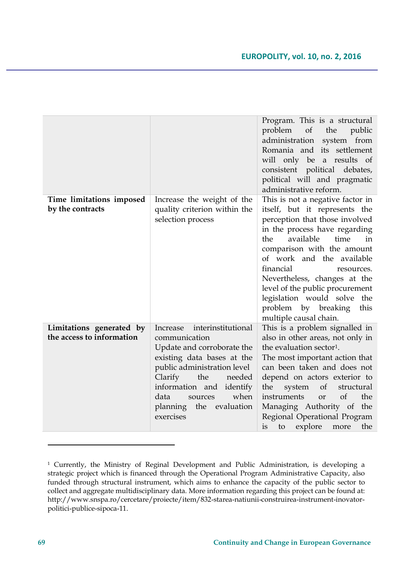|                                                       |                                                                                                                                                                                                                                                                       | Program. This is a structural<br>problem<br>of the<br>public<br>administration<br>system from<br>Romania and its settlement<br>will only be a results of<br>consistent political debates,<br>political will and pragmatic<br>administrative reform.                                                                                                                                                                     |
|-------------------------------------------------------|-----------------------------------------------------------------------------------------------------------------------------------------------------------------------------------------------------------------------------------------------------------------------|-------------------------------------------------------------------------------------------------------------------------------------------------------------------------------------------------------------------------------------------------------------------------------------------------------------------------------------------------------------------------------------------------------------------------|
| Time limitations imposed<br>by the contracts          | Increase the weight of the<br>quality criterion within the<br>selection process                                                                                                                                                                                       | This is not a negative factor in<br>itself, but it represents the<br>perception that those involved<br>in the process have regarding<br>available<br>time<br>the<br>in<br>comparison with the amount<br>of work and the available<br>financial<br>resources.<br>Nevertheless, changes at the<br>level of the public procurement<br>legislation would solve the<br>problem by breaking<br>this<br>multiple causal chain. |
| Limitations generated by<br>the access to information | interinstitutional<br>Increase<br>communication<br>Update and corroborate the<br>existing data bases at the<br>public administration level<br>Clarify<br>the<br>needed<br>information and identify<br>when<br>data<br>sources<br>planning the evaluation<br>exercises | This is a problem signalled in<br>also in other areas, not only in<br>the evaluation sector <sup>1</sup> .<br>The most important action that<br>can been taken and does not<br>depend on actors exterior to<br>the<br>system<br>of<br>structural<br>of<br>the<br>instruments<br><b>or</b><br>Managing Authority of the<br>Regional Operational Program<br>explore<br>is<br>the<br>to<br>more                            |

<sup>1</sup> Currently, the Ministry of Reginal Development and Public Administration, is developing a strategic project which is financed through the Operational Program Administrative Capacity, also funded through structural instrument, which aims to enhance the capacity of the public sector to collect and aggregate multidisciplinary data. More information regarding this project can be found at: http://www.snspa.ro/cercetare/proiecte/item/832-starea-natiunii-construirea-instrument-inovatorpolitici-publice-sipoca-11.

 $\overline{a}$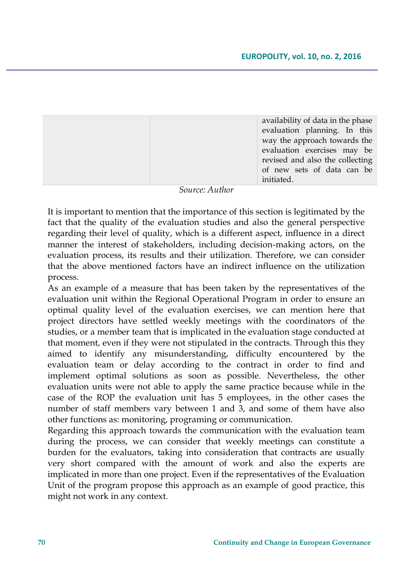| availability of data in the phase |
|-----------------------------------|
| evaluation planning. In this      |
| way the approach towards the      |
| evaluation exercises may be       |
| revised and also the collecting   |
| of new sets of data can be        |
| initiated.                        |

#### *Source: Author*

It is important to mention that the importance of this section is legitimated by the fact that the quality of the evaluation studies and also the general perspective regarding their level of quality, which is a different aspect, influence in a direct manner the interest of stakeholders, including decision-making actors, on the evaluation process, its results and their utilization. Therefore, we can consider that the above mentioned factors have an indirect influence on the utilization process.

As an example of a measure that has been taken by the representatives of the evaluation unit within the Regional Operational Program in order to ensure an optimal quality level of the evaluation exercises, we can mention here that project directors have settled weekly meetings with the coordinators of the studies, or a member team that is implicated in the evaluation stage conducted at that moment, even if they were not stipulated in the contracts. Through this they aimed to identify any misunderstanding, difficulty encountered by the evaluation team or delay according to the contract in order to find and implement optimal solutions as soon as possible. Nevertheless, the other evaluation units were not able to apply the same practice because while in the case of the ROP the evaluation unit has 5 employees, in the other cases the number of staff members vary between 1 and 3, and some of them have also other functions as: monitoring, programing or communication.

Regarding this approach towards the communication with the evaluation team during the process, we can consider that weekly meetings can constitute a burden for the evaluators, taking into consideration that contracts are usually very short compared with the amount of work and also the experts are implicated in more than one project. Even if the representatives of the Evaluation Unit of the program propose this approach as an example of good practice, this might not work in any context.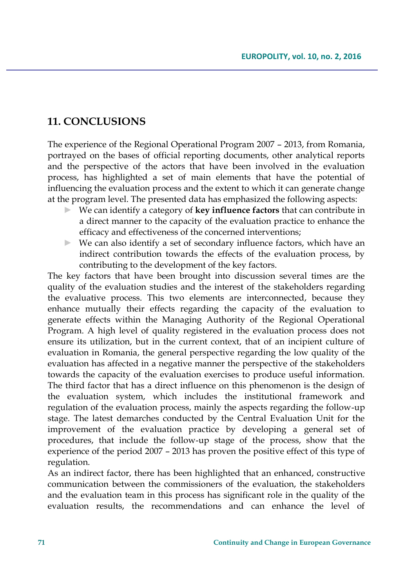## **11. CONCLUSIONS**

The experience of the Regional Operational Program 2007 – 2013, from Romania, portrayed on the bases of official reporting documents, other analytical reports and the perspective of the actors that have been involved in the evaluation process, has highlighted a set of main elements that have the potential of influencing the evaluation process and the extent to which it can generate change at the program level. The presented data has emphasized the following aspects:

- ► We can identify a category of **key influence factors** that can contribute in a direct manner to the capacity of the evaluation practice to enhance the efficacy and effectiveness of the concerned interventions;
- ► We can also identify a set of secondary influence factors, which have an indirect contribution towards the effects of the evaluation process, by contributing to the development of the key factors.

The key factors that have been brought into discussion several times are the quality of the evaluation studies and the interest of the stakeholders regarding the evaluative process. This two elements are interconnected, because they enhance mutually their effects regarding the capacity of the evaluation to generate effects within the Managing Authority of the Regional Operational Program. A high level of quality registered in the evaluation process does not ensure its utilization, but in the current context, that of an incipient culture of evaluation in Romania, the general perspective regarding the low quality of the evaluation has affected in a negative manner the perspective of the stakeholders towards the capacity of the evaluation exercises to produce useful information. The third factor that has a direct influence on this phenomenon is the design of the evaluation system, which includes the institutional framework and regulation of the evaluation process, mainly the aspects regarding the follow-up stage. The latest demarches conducted by the Central Evaluation Unit for the improvement of the evaluation practice by developing a general set of procedures, that include the follow-up stage of the process, show that the experience of the period 2007 – 2013 has proven the positive effect of this type of regulation.

As an indirect factor, there has been highlighted that an enhanced, constructive communication between the commissioners of the evaluation, the stakeholders and the evaluation team in this process has significant role in the quality of the evaluation results, the recommendations and can enhance the level of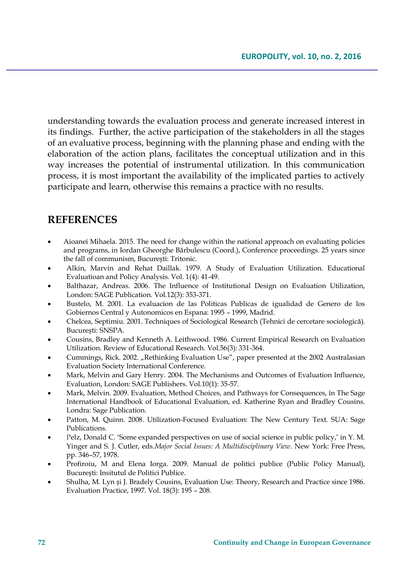understanding towards the evaluation process and generate increased interest in its findings. Further, the active participation of the stakeholders in all the stages of an evaluative process, beginning with the planning phase and ending with the elaboration of the action plans, facilitates the conceptual utilization and in this way increases the potential of instrumental utilization. In this communication process, it is most important the availability of the implicated parties to actively participate and learn, otherwise this remains a practice with no results.

# **REFERENCES**

- Aioanei Mihaela. 2015. The need for change within the national approach on evaluating policies and programs, in Iordan Gheorghe Bărbulescu (Coord.), Conference proceedings. 25 years since the fall of communism, București: Tritonic.
- Alkin, Marvin and Rehat Daillak. 1979. A Study of Evaluation Utilization. Educational Evaluatioan and Policy Analysis. Vol. 1(4): 41-49.
- Balthazar, Andreas. 2006. The Influence of Institutional Design on Evaluation Utilization, London: SAGE Publication. Vol.12(3): 353-371.
- Bustelo, M. 2001. La evaluacion de las Politicas Publicas de igualidad de Genero de los Gobiernos Central y Autonomicos en Espana: 1995 – 1999, Madrid.
- Chelcea, Septimiu. 2001. Techniques of Sociological Research (Tehnici de cercetare sociologică). București: SNSPA.
- Cousins, Bradley and Kenneth A. Leithwood. 1986. Current Empirical Research on Evaluation Utilization. Review of Educational Research. Vol.56(3): 331-364.
- Cummings, Rick. 2002. "Rethinking Evaluation Use", paper presented at the 2002 Australasian Evaluation Society International Conference.
- Mark, Melvin and Gary Henry. 2004. The Mechanisms and Outcomes of Evaluation Influence, Evaluation, London: SAGE Publishers. Vol.10(1): 35-57.
- Mark, Melvin. 2009. Evaluation, Method Choices, and Pathways for Consequences, în The Sage International Handbook of Educational Evaluation, ed. Katherine Ryan and Bradley Cousins. Londra: Sage Publication.
- Patton, M. Quinn. 2008. Utilization-Focused Evaluation: The New Century Text. SUA: Sage Publications.
- Pelz, Donald C. 'Some expanded perspectives on use of social science in public policy,' in Y. M. Yinger and S. J. Cutler, eds.*Major Social Issues: A Multidisciplinary View*. New York: Free Press, pp. 346–57, 1978.
- Profiroiu, M and Elena Iorga. 2009. Manual de politici publice (Public Policy Manual), București: Insitutul de Politici Publice.
- Shulha, M. Lyn și J. Bradely Cousins, Evaluation Use: Theory, Research and Practice since 1986. Evaluation Practice, 1997. Vol. 18(3): 195 – 208.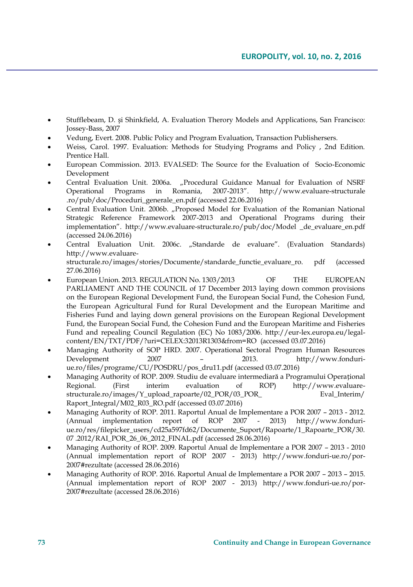- Stufflebeam, D. și Shinkfield, A. Evaluation Therory Models and Applications, San Francisco: Jossey-Bass, 2007
- Vedung, Evert. 2008. Public Policy and Program Evaluation, Transaction Publishersers.
- Weiss, Carol. 1997. Evaluation: Methods for Studying Programs and Policy , 2nd Edition. Prentice Hall.
- European Commission. 2013. EVALSED: The Source for the Evaluation of Socio-Economic Development
- Central Evaluation Unit. 2006a. "Procedural Guidance Manual for Evaluation of NSRF Operational Programs in Romania, 2007-2013". http://www.evaluare-structurale Operational Programs in Romania, 2007-2013". http://www.evaluare-structurale .ro/pub/doc/Proceduri\_generale\_en.pdf (accessed 22.06.2016)
- Central Evaluation Unit. 2006b. "Proposed Model for Evaluation of the Romanian National Strategic Reference Framework 2007-2013 and Operational Programs during their implementation". http://www.evaluare-structurale.ro/pub/doc/Model \_de\_evaluare\_en.pdf (accessed 24.06.2016)
- Central Evaluation Unit. 2006c. "Standarde de evaluare". (Evaluation Standards) http://www.evaluarestructurale.ro/images/stories/Documente/standarde\_functie\_evaluare\_ro. pdf (accessed 27.06.2016)
- European Union. 2013. REGULATION No. 1303/2013 OF THE EUROPEAN PARLIAMENT AND THE COUNCIL of 17 December 2013 laying down common provisions on the European Regional Development Fund, the European Social Fund, the Cohesion Fund, the European Agricultural Fund for Rural Development and the European Maritime and Fisheries Fund and laying down general provisions on the European Regional Development Fund, the European Social Fund, the Cohesion Fund and the European Maritime and Fisheries Fund and repealing Council Regulation (EC) No 1083/2006. http://eur-lex.europa.eu/legalcontent/EN/TXT/PDF/?uri=CELEX:32013R1303&from=RO (accessed 03.07.2016)
- Managing Authority of SOP HRD. 2007. Operational Sectoral Program Human Resources Development 2007 – 2013. [http://www.fonduri](http://www.fonduri-ue.ro/files/programe/CU/POSDRU/pos_dru11.pdf)[ue.ro/files/programe/CU/POSDRU/pos\\_dru11.pdf](http://www.fonduri-ue.ro/files/programe/CU/POSDRU/pos_dru11.pdf) (accessed 03.07.2016)
- Managing Authority of ROP. 2009. Studiu de evaluare intermediară a Programului Operațional Regional. (First interim evaluation of ROP) http://www.evaluarestructurale.ro/images/Y\_upload\_rapoarte/02\_POR/03\_POR\_ Eval\_Interim/ Raport\_Integral/M02\_R03\_RO.pdf (accessed 03.07.2016)
- Managing Authority of ROP. 2011. Raportul Anual de Implementare a POR 2007 2013 2012. (Annual implementation report of ROP 2007 - 2013) http://www.fonduriue.ro/res/filepicker\_users/cd25a597fd62/Documente\_Suport/Rapoarte/1\_Rapoarte\_POR/30. 07 .2012/RAI\_POR\_26\_06\_2012\_FINAL.pdf (accessed 28.06.2016)
- Managing Authority of ROP. 2009. Raportul Anual de Implementare a POR 2007 2013 2010 (Annual implementation report of ROP 2007 - 2013) http://www.fonduri-ue.ro/por-2007#rezultate (accessed 28.06.2016)
- Managing Authority of ROP. 2016. Raportul Anual de Implementare a POR 2007 2013 2015. (Annual implementation report of ROP 2007 - 2013) http://www.fonduri-ue.ro/por-2007#rezultate (accessed 28.06.2016)